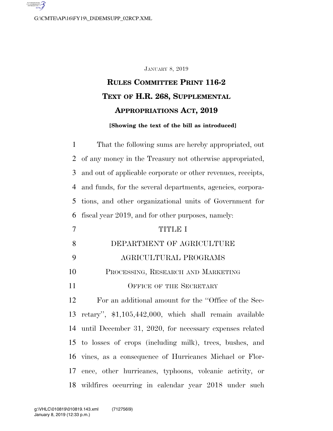G:\CMTE\AP\16\FY19\\_D\DEMSUPP\_02RCP.XML

#### JANUARY 8, 2019

# **RULES COMMITTEE PRINT 116-2 TEXT OF H.R. 268, SUPPLEMENTAL APPROPRIATIONS ACT, 2019**

#### **[Showing the text of the bill as introduced]**

 That the following sums are hereby appropriated, out of any money in the Treasury not otherwise appropriated, and out of applicable corporate or other revenues, receipts, and funds, for the several departments, agencies, corpora- tions, and other organizational units of Government for fiscal year 2019, and for other purposes, namely: TITLE I DEPARTMENT OF AGRICULTURE AGRICULTURAL PROGRAMS PROCESSING, RESEARCH AND MARKETING 11 OFFICE OF THE SECRETARY For an additional amount for the ''Office of the Sec- retary'', \$1,105,442,000, which shall remain available until December 31, 2020, for necessary expenses related to losses of crops (including milk), trees, bushes, and vines, as a consequence of Hurricanes Michael or Flor- ence, other hurricanes, typhoons, volcanic activity, or wildfires occurring in calendar year 2018 under such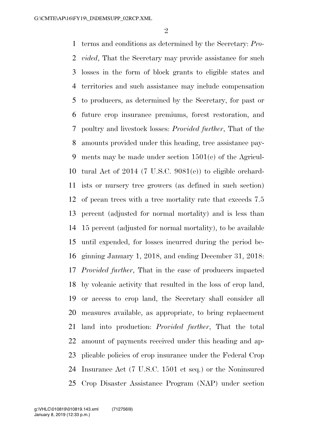terms and conditions as determined by the Secretary: *Pro- vided*, That the Secretary may provide assistance for such losses in the form of block grants to eligible states and territories and such assistance may include compensation to producers, as determined by the Secretary, for past or future crop insurance premiums, forest restoration, and poultry and livestock losses: *Provided further*, That of the amounts provided under this heading, tree assistance pay- ments may be made under section 1501(e) of the Agricul- tural Act of 2014 (7 U.S.C. 9081(e)) to eligible orchard- ists or nursery tree growers (as defined in such section) of pecan trees with a tree mortality rate that exceeds 7.5 percent (adjusted for normal mortality) and is less than 15 percent (adjusted for normal mortality), to be available until expended, for losses incurred during the period be- ginning January 1, 2018, and ending December 31, 2018: *Provided further*, That in the case of producers impacted by volcanic activity that resulted in the loss of crop land, or access to crop land, the Secretary shall consider all measures available, as appropriate, to bring replacement land into production: *Provided further*, That the total amount of payments received under this heading and ap- plicable policies of crop insurance under the Federal Crop Insurance Act (7 U.S.C. 1501 et seq.) or the Noninsured Crop Disaster Assistance Program (NAP) under section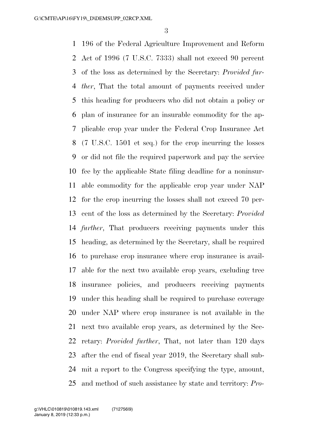196 of the Federal Agriculture Improvement and Reform Act of 1996 (7 U.S.C. 7333) shall not exceed 90 percent of the loss as determined by the Secretary: *Provided fur- ther*, That the total amount of payments received under this heading for producers who did not obtain a policy or plan of insurance for an insurable commodity for the ap- plicable crop year under the Federal Crop Insurance Act (7 U.S.C. 1501 et seq.) for the crop incurring the losses or did not file the required paperwork and pay the service fee by the applicable State filing deadline for a noninsur- able commodity for the applicable crop year under NAP for the crop incurring the losses shall not exceed 70 per- cent of the loss as determined by the Secretary: *Provided further*, That producers receiving payments under this heading, as determined by the Secretary, shall be required to purchase crop insurance where crop insurance is avail- able for the next two available crop years, excluding tree insurance policies, and producers receiving payments under this heading shall be required to purchase coverage under NAP where crop insurance is not available in the next two available crop years, as determined by the Sec- retary: *Provided further*, That, not later than 120 days after the end of fiscal year 2019, the Secretary shall sub- mit a report to the Congress specifying the type, amount, and method of such assistance by state and territory: *Pro-*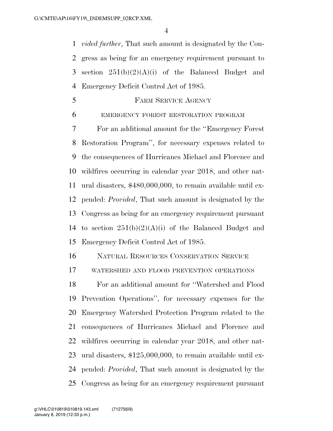*vided further*, That such amount is designated by the Con- gress as being for an emergency requirement pursuant to section 251(b)(2)(A)(i) of the Balanced Budget and Emergency Deficit Control Act of 1985.

- **FARM SERVICE AGENCY**
- EMERGENCY FOREST RESTORATION PROGRAM

 For an additional amount for the ''Emergency Forest Restoration Program'', for necessary expenses related to the consequences of Hurricanes Michael and Florence and wildfires occurring in calendar year 2018, and other nat- ural disasters, \$480,000,000, to remain available until ex- pended: *Provided*, That such amount is designated by the Congress as being for an emergency requirement pursuant 14 to section  $251(b)(2)(A)(i)$  of the Balanced Budget and Emergency Deficit Control Act of 1985.

NATURAL RESOURCES CONSERVATION SERVICE

WATERSHED AND FLOOD PREVENTION OPERATIONS

 For an additional amount for ''Watershed and Flood Prevention Operations'', for necessary expenses for the Emergency Watershed Protection Program related to the consequences of Hurricanes Michael and Florence and wildfires occurring in calendar year 2018, and other nat- ural disasters, \$125,000,000, to remain available until ex- pended: *Provided*, That such amount is designated by the Congress as being for an emergency requirement pursuant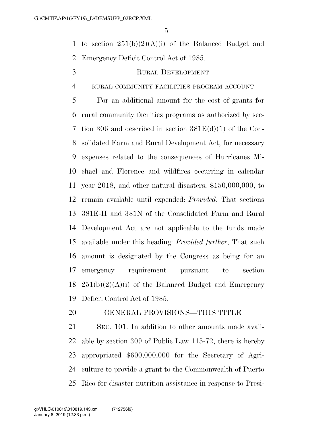1 to section  $251(b)(2)(A)(i)$  of the Balanced Budget and Emergency Deficit Control Act of 1985.

# RURAL DEVELOPMENT

RURAL COMMUNITY FACILITIES PROGRAM ACCOUNT

 For an additional amount for the cost of grants for rural community facilities programs as authorized by sec- tion 306 and described in section 381E(d)(1) of the Con- solidated Farm and Rural Development Act, for necessary expenses related to the consequences of Hurricanes Mi- chael and Florence and wildfires occurring in calendar year 2018, and other natural disasters, \$150,000,000, to remain available until expended: *Provided*, That sections 381E-H and 381N of the Consolidated Farm and Rural Development Act are not applicable to the funds made available under this heading: *Provided further*, That such amount is designated by the Congress as being for an emergency requirement pursuant to section  $251(b)(2)(A)(i)$  of the Balanced Budget and Emergency Deficit Control Act of 1985.

# GENERAL PROVISIONS—THIS TITLE

 SEC. 101. In addition to other amounts made avail- able by section 309 of Public Law 115-72, there is hereby appropriated \$600,000,000 for the Secretary of Agri- culture to provide a grant to the Commonwealth of Puerto Rico for disaster nutrition assistance in response to Presi-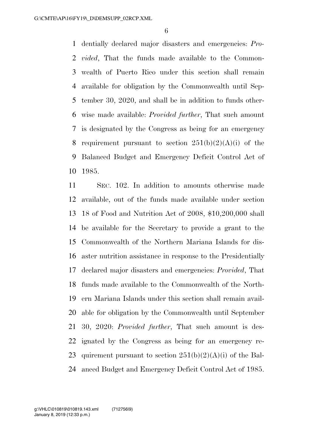dentially declared major disasters and emergencies: *Pro- vided*, That the funds made available to the Common- wealth of Puerto Rico under this section shall remain available for obligation by the Commonwealth until Sep- tember 30, 2020, and shall be in addition to funds other- wise made available: *Provided further*, That such amount is designated by the Congress as being for an emergency 8 requirement pursuant to section  $251(b)(2)(A)(i)$  of the Balanced Budget and Emergency Deficit Control Act of 1985.

 SEC. 102. In addition to amounts otherwise made available, out of the funds made available under section 18 of Food and Nutrition Act of 2008, \$10,200,000 shall be available for the Secretary to provide a grant to the Commonwealth of the Northern Mariana Islands for dis- aster nutrition assistance in response to the Presidentially declared major disasters and emergencies: *Provided*, That funds made available to the Commonwealth of the North- ern Mariana Islands under this section shall remain avail- able for obligation by the Commonwealth until September 30, 2020: *Provided further*, That such amount is des- ignated by the Congress as being for an emergency re-23 quirement pursuant to section  $251(b)(2)(A)(i)$  of the Bal-anced Budget and Emergency Deficit Control Act of 1985.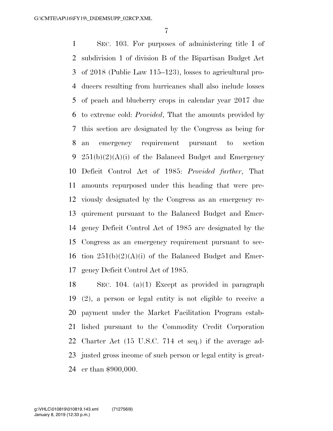SEC. 103. For purposes of administering title I of subdivision 1 of division B of the Bipartisan Budget Act of 2018 (Public Law 115–123), losses to agricultural pro- ducers resulting from hurricanes shall also include losses of peach and blueberry crops in calendar year 2017 due to extreme cold: *Provided*, That the amounts provided by this section are designated by the Congress as being for an emergency requirement pursuant to section  $251(b)(2)(A)(i)$  of the Balanced Budget and Emergency Deficit Control Act of 1985: *Provided further*, That amounts repurposed under this heading that were pre- viously designated by the Congress as an emergency re- quirement pursuant to the Balanced Budget and Emer- gency Deficit Control Act of 1985 are designated by the Congress as an emergency requirement pursuant to sec-16 tion  $251(b)(2)(A)(i)$  of the Balanced Budget and Emer-gency Deficit Control Act of 1985.

 SEC. 104. (a)(1) Except as provided in paragraph (2), a person or legal entity is not eligible to receive a payment under the Market Facilitation Program estab- lished pursuant to the Commodity Credit Corporation Charter Act (15 U.S.C. 714 et seq.) if the average ad- justed gross income of such person or legal entity is great-er than \$900,000.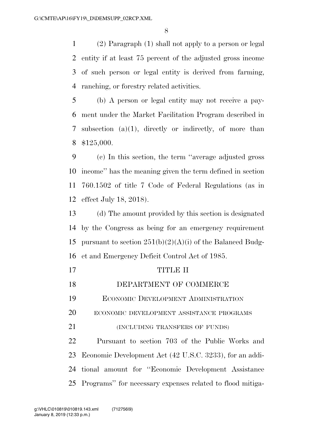(2) Paragraph (1) shall not apply to a person or legal entity if at least 75 percent of the adjusted gross income of such person or legal entity is derived from farming, ranching, or forestry related activities.

 (b) A person or legal entity may not receive a pay- ment under the Market Facilitation Program described in subsection (a)(1), directly or indirectly, of more than \$125,000.

 (c) In this section, the term ''average adjusted gross income'' has the meaning given the term defined in section 760.1502 of title 7 Code of Federal Regulations (as in effect July 18, 2018).

 (d) The amount provided by this section is designated by the Congress as being for an emergency requirement 15 pursuant to section  $251(b)(2)(A)(i)$  of the Balanced Budg-et and Emergency Deficit Control Act of 1985.

- 17 TITLE II DEPARTMENT OF COMMERCE ECONOMIC DEVELOPMENT ADMINISTRATION ECONOMIC DEVELOPMENT ASSISTANCE PROGRAMS 21 (INCLUDING TRANSFERS OF FUNDS) Pursuant to section 703 of the Public Works and Economic Development Act (42 U.S.C. 3233), for an addi-tional amount for ''Economic Development Assistance
- Programs'' for necessary expenses related to flood mitiga-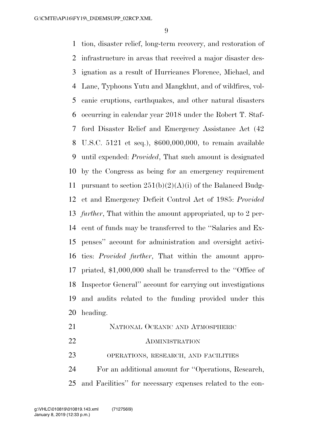tion, disaster relief, long-term recovery, and restoration of infrastructure in areas that received a major disaster des- ignation as a result of Hurricanes Florence, Michael, and Lane, Typhoons Yutu and Mangkhut, and of wildfires, vol- canic eruptions, earthquakes, and other natural disasters occurring in calendar year 2018 under the Robert T. Staf- ford Disaster Relief and Emergency Assistance Act (42 U.S.C. 5121 et seq.), \$600,000,000, to remain available until expended: *Provided*, That such amount is designated by the Congress as being for an emergency requirement 11 pursuant to section  $251(b)(2)(A)(i)$  of the Balanced Budg- et and Emergency Deficit Control Act of 1985: *Provided further*, That within the amount appropriated, up to 2 per- cent of funds may be transferred to the ''Salaries and Ex- penses'' account for administration and oversight activi- ties: *Provided further*, That within the amount appro- priated, \$1,000,000 shall be transferred to the ''Office of Inspector General'' account for carrying out investigations and audits related to the funding provided under this heading.

| 21 | NATIONAL OCEANIC AND ATMOSPHERIC                              |
|----|---------------------------------------------------------------|
| 22 | <b>ADMINISTRATION</b>                                         |
| 23 | OPERATIONS, RESEARCH, AND FACILITIES                          |
| 24 | For an additional amount for "Operations, Research,           |
|    | 25 and Facilities" for necessary expenses related to the con- |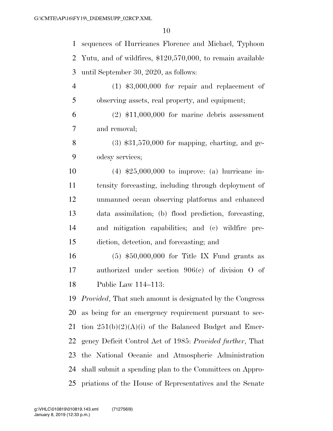sequences of Hurricanes Florence and Michael, Typhoon Yutu, and of wildfires, \$120,570,000, to remain available until September 30, 2020, as follows: (1) \$3,000,000 for repair and replacement of observing assets, real property, and equipment; (2) \$11,000,000 for marine debris assessment and removal; 8 (3)  $$31,570,000$  for mapping, charting, and ge- odesy services; (4) \$25,000,000 to improve: (a) hurricane in- tensity forecasting, including through deployment of unmanned ocean observing platforms and enhanced data assimilation; (b) flood prediction, forecasting, and mitigation capabilities; and (c) wildfire pre- diction, detection, and forecasting; and (5) \$50,000,000 for Title IX Fund grants as authorized under section 906(c) of division O of Public Law 114–113: *Provided*, That such amount is designated by the Congress as being for an emergency requirement pursuant to sec-21 tion  $251(b)(2)(A)(i)$  of the Balanced Budget and Emer- gency Deficit Control Act of 1985: *Provided further*, That the National Oceanic and Atmospheric Administration shall submit a spending plan to the Committees on Appro-priations of the House of Representatives and the Senate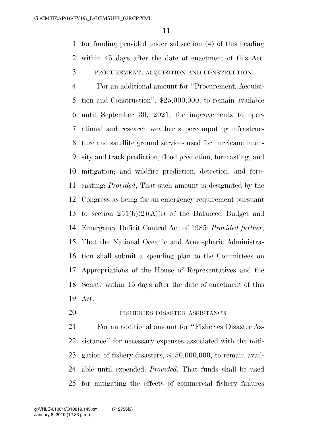for funding provided under subsection (4) of this heading within 45 days after the date of enactment of this Act.

PROCUREMENT, ACQUISITION AND CONSTRUCTION

 For an additional amount for ''Procurement, Acquisi- tion and Construction'', \$25,000,000, to remain available until September 30, 2021, for improvements to oper- ational and research weather supercomputing infrastruc- ture and satellite ground services used for hurricane inten- sity and track prediction; flood prediction, forecasting, and mitigation; and wildfire prediction, detection, and fore- casting: *Provided*, That such amount is designated by the Congress as being for an emergency requirement pursuant 13 to section  $251(b)(2)(A)(i)$  of the Balanced Budget and Emergency Deficit Control Act of 1985: *Provided further*, That the National Oceanic and Atmospheric Administra- tion shall submit a spending plan to the Committees on Appropriations of the House of Representatives and the Senate within 45 days after the date of enactment of this Act.

20 FISHERIES DISASTER ASSISTANCE

 For an additional amount for ''Fisheries Disaster As- sistance'' for necessary expenses associated with the miti- gation of fishery disasters, \$150,000,000, to remain avail- able until expended: *Provided*, That funds shall be used for mitigating the effects of commercial fishery failures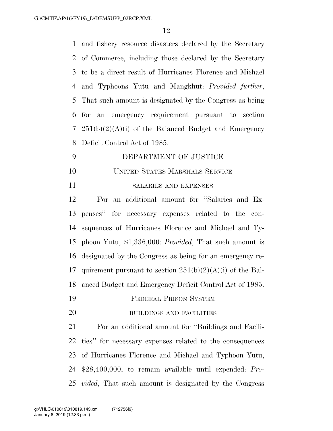and fishery resource disasters declared by the Secretary of Commerce, including those declared by the Secretary to be a direct result of Hurricanes Florence and Michael and Typhoons Yutu and Mangkhut: *Provided further*, That such amount is designated by the Congress as being for an emergency requirement pursuant to section  $251(b)(2)(A)(i)$  of the Balanced Budget and Emergency Deficit Control Act of 1985.

- DEPARTMENT OF JUSTICE UNITED STATES MARSHALS SERVICE
- 

#### SALARIES AND EXPENSES

 For an additional amount for ''Salaries and Ex- penses'' for necessary expenses related to the con- sequences of Hurricanes Florence and Michael and Ty- phoon Yutu, \$1,336,000: *Provided*, That such amount is designated by the Congress as being for an emergency re-17 quirement pursuant to section  $251(b)(2)(A)(i)$  of the Bal-anced Budget and Emergency Deficit Control Act of 1985.

- FEDERAL PRISON SYSTEM
- BUILDINGS AND FACILITIES

 For an additional amount for ''Buildings and Facili- ties'' for necessary expenses related to the consequences of Hurricanes Florence and Michael and Typhoon Yutu, \$28,400,000, to remain available until expended: *Pro-vided*, That such amount is designated by the Congress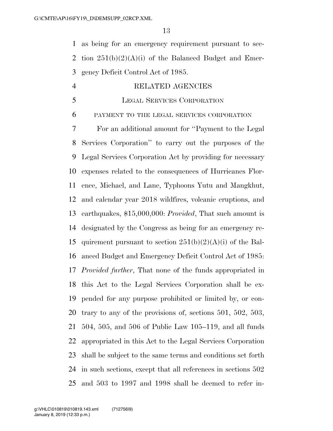as being for an emergency requirement pursuant to sec-2 tion  $251(b)(2)(A)(i)$  of the Balanced Budget and Emer-gency Deficit Control Act of 1985.

# RELATED AGENCIES

#### LEGAL SERVICES CORPORATION

PAYMENT TO THE LEGAL SERVICES CORPORATION

 For an additional amount for ''Payment to the Legal Services Corporation'' to carry out the purposes of the Legal Services Corporation Act by providing for necessary expenses related to the consequences of Hurricanes Flor- ence, Michael, and Lane, Typhoons Yutu and Mangkhut, and calendar year 2018 wildfires, volcanic eruptions, and earthquakes, \$15,000,000: *Provided*, That such amount is designated by the Congress as being for an emergency re-15 quirement pursuant to section  $251(b)(2)(A)(i)$  of the Bal- anced Budget and Emergency Deficit Control Act of 1985: *Provided further*, That none of the funds appropriated in this Act to the Legal Services Corporation shall be ex- pended for any purpose prohibited or limited by, or con- trary to any of the provisions of, sections 501, 502, 503, 504, 505, and 506 of Public Law 105–119, and all funds appropriated in this Act to the Legal Services Corporation shall be subject to the same terms and conditions set forth in such sections, except that all references in sections 502 and 503 to 1997 and 1998 shall be deemed to refer in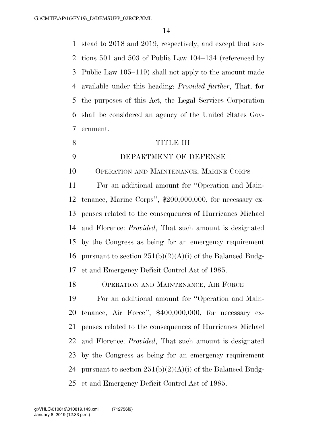stead to 2018 and 2019, respectively, and except that sec- tions 501 and 503 of Public Law 104–134 (referenced by Public Law 105–119) shall not apply to the amount made available under this heading: *Provided further*, That, for the purposes of this Act, the Legal Services Corporation shall be considered an agency of the United States Gov-ernment.

8 TITLE III DEPARTMENT OF DEFENSE OPERATION AND MAINTENANCE, MARINE CORPS For an additional amount for ''Operation and Main- tenance, Marine Corps'', \$200,000,000, for necessary ex- penses related to the consequences of Hurricanes Michael and Florence: *Provided*, That such amount is designated by the Congress as being for an emergency requirement 16 pursuant to section  $251(b)(2)(A)(i)$  of the Balanced Budg- et and Emergency Deficit Control Act of 1985. OPERATION AND MAINTENANCE, AIR FORCE For an additional amount for ''Operation and Main-

 tenance, Air Force'', \$400,000,000, for necessary ex- penses related to the consequences of Hurricanes Michael and Florence: *Provided*, That such amount is designated by the Congress as being for an emergency requirement 24 pursuant to section  $251(b)(2)(A)(i)$  of the Balanced Budg-et and Emergency Deficit Control Act of 1985.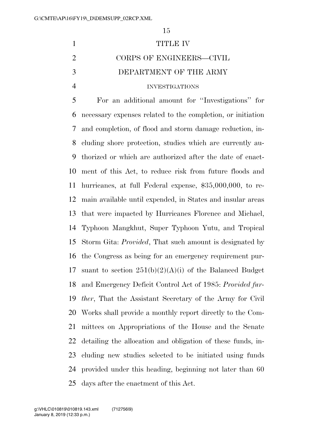# TITLE IV CORPS OF ENGINEERS—CIVIL DEPARTMENT OF THE ARMY INVESTIGATIONS

 For an additional amount for ''Investigations'' for necessary expenses related to the completion, or initiation and completion, of flood and storm damage reduction, in- cluding shore protection, studies which are currently au- thorized or which are authorized after the date of enact- ment of this Act, to reduce risk from future floods and hurricanes, at full Federal expense, \$35,000,000, to re- main available until expended, in States and insular areas that were impacted by Hurricanes Florence and Michael, Typhoon Mangkhut, Super Typhoon Yutu, and Tropical Storm Gita: *Provided*, That such amount is designated by the Congress as being for an emergency requirement pur-17 suant to section  $251(b)(2)(A)(i)$  of the Balanced Budget and Emergency Deficit Control Act of 1985: *Provided fur- ther*, That the Assistant Secretary of the Army for Civil Works shall provide a monthly report directly to the Com- mittees on Appropriations of the House and the Senate detailing the allocation and obligation of these funds, in- cluding new studies selected to be initiated using funds provided under this heading, beginning not later than 60 days after the enactment of this Act.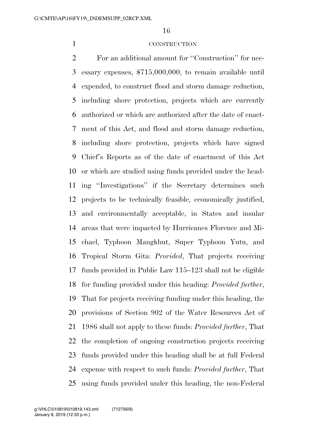#### CONSTRUCTION

 For an additional amount for ''Construction'' for nec- essary expenses, \$715,000,000, to remain available until expended, to construct flood and storm damage reduction, including shore protection, projects which are currently authorized or which are authorized after the date of enact- ment of this Act, and flood and storm damage reduction, including shore protection, projects which have signed Chief's Reports as of the date of enactment of this Act or which are studied using funds provided under the head- ing ''Investigations'' if the Secretary determines such projects to be technically feasible, economically justified, and environmentally acceptable, in States and insular areas that were impacted by Hurricanes Florence and Mi- chael, Typhoon Mangkhut, Super Typhoon Yutu, and Tropical Storm Gita: *Provided*, That projects receiving funds provided in Public Law 115–123 shall not be eligible for funding provided under this heading: *Provided further*, That for projects receiving funding under this heading, the provisions of Section 902 of the Water Resources Act of 1986 shall not apply to these funds: *Provided further*, That the completion of ongoing construction projects receiving funds provided under this heading shall be at full Federal expense with respect to such funds: *Provided further*, That using funds provided under this heading, the non-Federal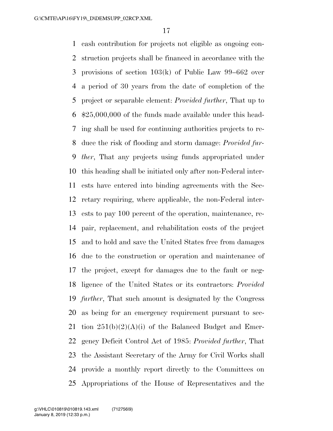cash contribution for projects not eligible as ongoing con- struction projects shall be financed in accordance with the provisions of section 103(k) of Public Law 99–662 over a period of 30 years from the date of completion of the project or separable element: *Provided further*, That up to \$25,000,000 of the funds made available under this head- ing shall be used for continuing authorities projects to re- duce the risk of flooding and storm damage: *Provided fur- ther*, That any projects using funds appropriated under this heading shall be initiated only after non-Federal inter- ests have entered into binding agreements with the Sec- retary requiring, where applicable, the non-Federal inter- ests to pay 100 percent of the operation, maintenance, re- pair, replacement, and rehabilitation costs of the project and to hold and save the United States free from damages due to the construction or operation and maintenance of the project, except for damages due to the fault or neg- ligence of the United States or its contractors: *Provided further*, That such amount is designated by the Congress as being for an emergency requirement pursuant to sec-21 tion  $251(b)(2)(A)(i)$  of the Balanced Budget and Emer- gency Deficit Control Act of 1985: *Provided further*, That the Assistant Secretary of the Army for Civil Works shall provide a monthly report directly to the Committees on Appropriations of the House of Representatives and the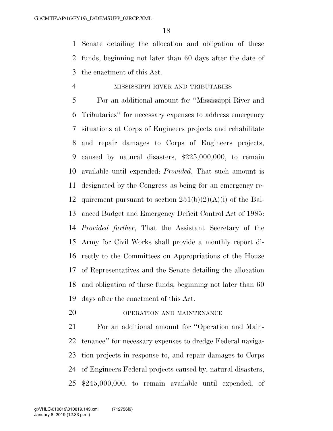Senate detailing the allocation and obligation of these funds, beginning not later than 60 days after the date of the enactment of this Act.

### MISSISSIPPI RIVER AND TRIBUTARIES

 For an additional amount for ''Mississippi River and Tributaries'' for necessary expenses to address emergency situations at Corps of Engineers projects and rehabilitate and repair damages to Corps of Engineers projects, caused by natural disasters, \$225,000,000, to remain available until expended: *Provided*, That such amount is designated by the Congress as being for an emergency re-12 quirement pursuant to section  $251(b)(2)(A)(i)$  of the Bal- anced Budget and Emergency Deficit Control Act of 1985: *Provided further*, That the Assistant Secretary of the Army for Civil Works shall provide a monthly report di- rectly to the Committees on Appropriations of the House of Representatives and the Senate detailing the allocation and obligation of these funds, beginning not later than 60 days after the enactment of this Act.

OPERATION AND MAINTENANCE

 For an additional amount for ''Operation and Main- tenance'' for necessary expenses to dredge Federal naviga- tion projects in response to, and repair damages to Corps of Engineers Federal projects caused by, natural disasters, \$245,000,000, to remain available until expended, of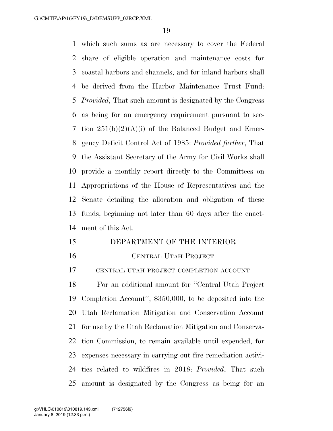which such sums as are necessary to cover the Federal share of eligible operation and maintenance costs for coastal harbors and channels, and for inland harbors shall be derived from the Harbor Maintenance Trust Fund: *Provided*, That such amount is designated by the Congress as being for an emergency requirement pursuant to sec- tion 251(b)(2)(A)(i) of the Balanced Budget and Emer- gency Deficit Control Act of 1985: *Provided further*, That the Assistant Secretary of the Army for Civil Works shall provide a monthly report directly to the Committees on Appropriations of the House of Representatives and the Senate detailing the allocation and obligation of these funds, beginning not later than 60 days after the enact-ment of this Act.

- DEPARTMENT OF THE INTERIOR
- 

#### CENTRAL UTAH PROJECT

CENTRAL UTAH PROJECT COMPLETION ACCOUNT

 For an additional amount for ''Central Utah Project Completion Account'', \$350,000, to be deposited into the Utah Reclamation Mitigation and Conservation Account for use by the Utah Reclamation Mitigation and Conserva- tion Commission, to remain available until expended, for expenses necessary in carrying out fire remediation activi- ties related to wildfires in 2018: *Provided*, That such amount is designated by the Congress as being for an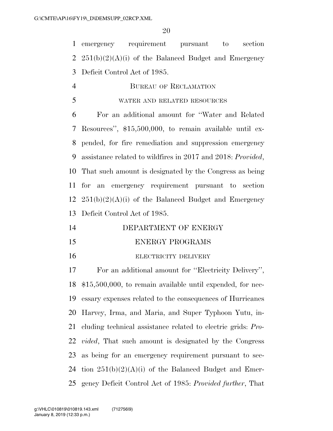emergency requirement pursuant to section 2  $251(b)(2)(A)(i)$  of the Balanced Budget and Emergency Deficit Control Act of 1985.

- BUREAU OF RECLAMATION
- WATER AND RELATED RESOURCES

 For an additional amount for ''Water and Related Resources'', \$15,500,000, to remain available until ex- pended, for fire remediation and suppression emergency assistance related to wildfires in 2017 and 2018: *Provided*, That such amount is designated by the Congress as being for an emergency requirement pursuant to section  $251(b)(2)(A)(i)$  of the Balanced Budget and Emergency Deficit Control Act of 1985.

- 14 DEPARTMENT OF ENERGY ENERGY PROGRAMS
- 16 ELECTRICITY DELIVERY

 For an additional amount for ''Electricity Delivery'', \$15,500,000, to remain available until expended, for nec- essary expenses related to the consequences of Hurricanes Harvey, Irma, and Maria, and Super Typhoon Yutu, in- cluding technical assistance related to electric grids: *Pro- vided*, That such amount is designated by the Congress as being for an emergency requirement pursuant to sec-24 tion  $251(b)(2)(A)(i)$  of the Balanced Budget and Emer-gency Deficit Control Act of 1985: *Provided further*, That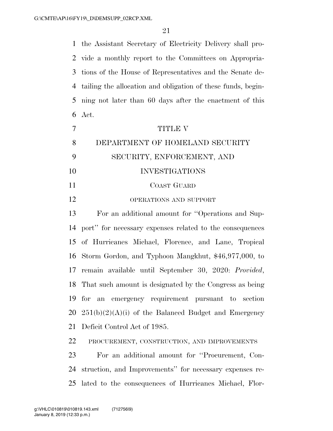the Assistant Secretary of Electricity Delivery shall pro- vide a monthly report to the Committees on Appropria- tions of the House of Representatives and the Senate de- tailing the allocation and obligation of these funds, begin- ning not later than 60 days after the enactment of this Act.

|    | <b>TITLE V</b>                  |
|----|---------------------------------|
| 8  | DEPARTMENT OF HOMELAND SECURITY |
|    | SECURITY, ENFORCEMENT, AND      |
| 10 | <b>INVESTIGATIONS</b>           |
| 11 | COAST GUARD                     |
| 12 | OPERATIONS AND SUPPORT          |

 For an additional amount for ''Operations and Sup- port'' for necessary expenses related to the consequences of Hurricanes Michael, Florence, and Lane, Tropical Storm Gordon, and Typhoon Mangkhut, \$46,977,000, to remain available until September 30, 2020: *Provided*, That such amount is designated by the Congress as being for an emergency requirement pursuant to section  $251(b)(2)(A)(i)$  of the Balanced Budget and Emergency Deficit Control Act of 1985.

PROCUREMENT, CONSTRUCTION, AND IMPROVEMENTS

 For an additional amount for ''Procurement, Con- struction, and Improvements'' for necessary expenses re-lated to the consequences of Hurricanes Michael, Flor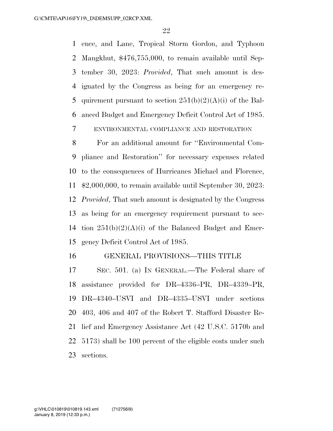ence, and Lane, Tropical Storm Gordon, and Typhoon Mangkhut, \$476,755,000, to remain available until Sep- tember 30, 2023: *Provided*, That such amount is des- ignated by the Congress as being for an emergency re-5 quirement pursuant to section  $251(b)(2)(A)(i)$  of the Bal-anced Budget and Emergency Deficit Control Act of 1985.

ENVIRONMENTAL COMPLIANCE AND RESTORATION

 For an additional amount for ''Environmental Com- pliance and Restoration'' for necessary expenses related to the consequences of Hurricanes Michael and Florence, \$2,000,000, to remain available until September 30, 2023: *Provided*, That such amount is designated by the Congress as being for an emergency requirement pursuant to sec-14 tion  $251(b)(2)(A)(i)$  of the Balanced Budget and Emer-gency Deficit Control Act of 1985.

#### GENERAL PROVISIONS—THIS TITLE

 SEC. 501. (a) IN GENERAL.—The Federal share of assistance provided for DR–4336–PR, DR–4339–PR, DR–4340–USVI and DR–4335–USVI under sections 403, 406 and 407 of the Robert T. Stafford Disaster Re- lief and Emergency Assistance Act (42 U.S.C. 5170b and 5173) shall be 100 percent of the eligible costs under such sections.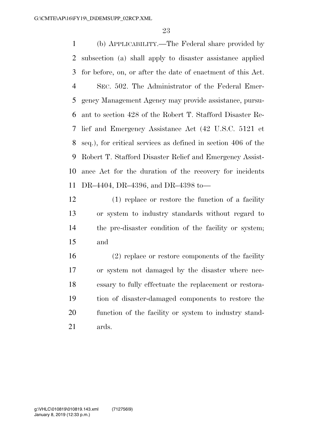(b) APPLICABILITY.—The Federal share provided by subsection (a) shall apply to disaster assistance applied for before, on, or after the date of enactment of this Act. SEC. 502. The Administrator of the Federal Emer- gency Management Agency may provide assistance, pursu- ant to section 428 of the Robert T. Stafford Disaster Re- lief and Emergency Assistance Act (42 U.S.C. 5121 et seq.), for critical services as defined in section 406 of the Robert T. Stafford Disaster Relief and Emergency Assist- ance Act for the duration of the recovery for incidents DR–4404, DR–4396, and DR–4398 to—

 (1) replace or restore the function of a facility or system to industry standards without regard to the pre-disaster condition of the facility or system; and

 (2) replace or restore components of the facility or system not damaged by the disaster where nec- essary to fully effectuate the replacement or restora- tion of disaster-damaged components to restore the function of the facility or system to industry stand-ards.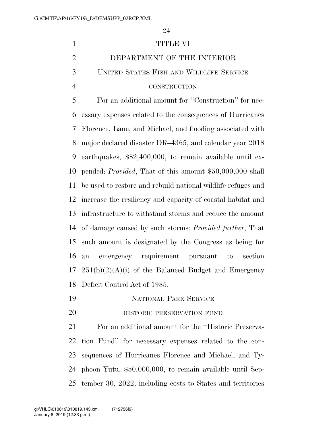# 1 TITLE VI DEPARTMENT OF THE INTERIOR UNITED STATES FISH AND WILDLIFE SERVICE CONSTRUCTION For an additional amount for ''Construction'' for nec- essary expenses related to the consequences of Hurricanes Florence, Lane, and Michael, and flooding associated with major declared disaster DR–4365, and calendar year 2018 earthquakes, \$82,400,000, to remain available until ex- pended: *Provided*, That of this amount \$50,000,000 shall be used to restore and rebuild national wildlife refuges and increase the resiliency and capacity of coastal habitat and infrastructure to withstand storms and reduce the amount of damage caused by such storms: *Provided further*, That such amount is designated by the Congress as being for an emergency requirement pursuant to section  $17 \quad 251(b)(2)(A)(i)$  of the Balanced Budget and Emergency Deficit Control Act of 1985. NATIONAL PARK SERVICE **HISTORIC PRESERVATION FUND**

 For an additional amount for the ''Historic Preserva- tion Fund'' for necessary expenses related to the con- sequences of Hurricanes Florence and Michael, and Ty- phoon Yutu, \$50,000,000, to remain available until Sep-tember 30, 2022, including costs to States and territories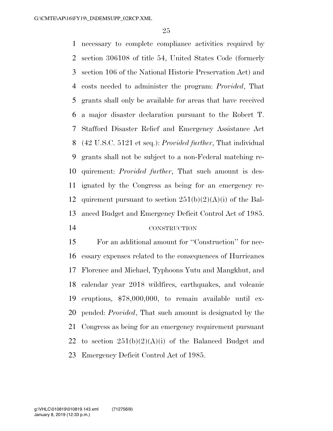necessary to complete compliance activities required by section 306108 of title 54, United States Code (formerly section 106 of the National Historic Preservation Act) and costs needed to administer the program: *Provided*, That grants shall only be available for areas that have received a major disaster declaration pursuant to the Robert T. Stafford Disaster Relief and Emergency Assistance Act (42 U.S.C. 5121 et seq.): *Provided further*, That individual grants shall not be subject to a non-Federal matching re- quirement: *Provided further*, That such amount is des- ignated by the Congress as being for an emergency re-12 quirement pursuant to section  $251(b)(2)(A)(i)$  of the Bal- anced Budget and Emergency Deficit Control Act of 1985. CONSTRUCTION

 For an additional amount for ''Construction'' for nec- essary expenses related to the consequences of Hurricanes Florence and Michael, Typhoons Yutu and Mangkhut, and calendar year 2018 wildfires, earthquakes, and volcanic eruptions, \$78,000,000, to remain available until ex- pended: *Provided*, That such amount is designated by the Congress as being for an emergency requirement pursuant 22 to section  $251(b)(2)(A)(i)$  of the Balanced Budget and

Emergency Deficit Control Act of 1985.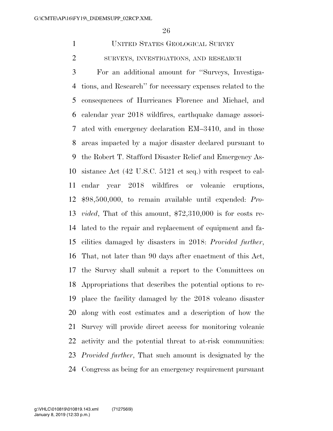UNITED STATES GEOLOGICAL SURVEY SURVEYS, INVESTIGATIONS, AND RESEARCH

 For an additional amount for ''Surveys, Investiga- tions, and Research'' for necessary expenses related to the consequences of Hurricanes Florence and Michael, and calendar year 2018 wildfires, earthquake damage associ- ated with emergency declaration EM–3410, and in those areas impacted by a major disaster declared pursuant to the Robert T. Stafford Disaster Relief and Emergency As- sistance Act (42 U.S.C. 5121 et seq.) with respect to cal- endar year 2018 wildfires or volcanic eruptions, \$98,500,000, to remain available until expended: *Pro- vided*, That of this amount, \$72,310,000 is for costs re- lated to the repair and replacement of equipment and fa- cilities damaged by disasters in 2018: *Provided further*, That, not later than 90 days after enactment of this Act, the Survey shall submit a report to the Committees on Appropriations that describes the potential options to re- place the facility damaged by the 2018 volcano disaster along with cost estimates and a description of how the Survey will provide direct access for monitoring volcanic activity and the potential threat to at-risk communities: *Provided further*, That such amount is designated by the Congress as being for an emergency requirement pursuant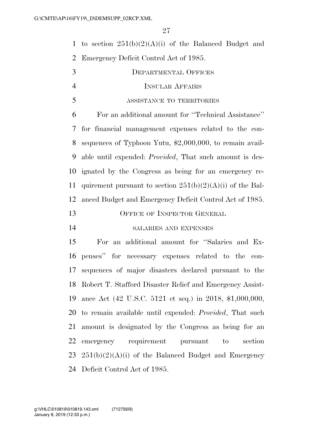1 to section  $251(b)(2)(A)(i)$  of the Balanced Budget and Emergency Deficit Control Act of 1985.

| 3              | <b>DEPARTMENTAL OFFICES</b>                                     |
|----------------|-----------------------------------------------------------------|
| $\overline{4}$ | <b>INSULAR AFFAIRS</b>                                          |
| 5              | ASSISTANCE TO TERRITORIES                                       |
| 6              | For an additional amount for "Technical Assistance"             |
|                | 7 for financial management expenses related to the con-         |
| 8              | sequences of Typhoon Yutu, $$2,000,000$ , to remain avail-      |
| 9              | able until expended: <i>Provided</i> , That such amount is des- |
| 10             | ignated by the Congress as being for an emergency re-           |
| 11             | quirement pursuant to section $251(b)(2)(A)(i)$ of the Bal-     |
| 12             | anced Budget and Emergency Deficit Control Act of 1985.         |
| 13             | OFFICE OF INSPECTOR GENERAL                                     |
| 14             | SALARIES AND EXPENSES                                           |
| 15             | For an additional amount for "Salaries and Ex-                  |
|                |                                                                 |

 penses'' for necessary expenses related to the con- sequences of major disasters declared pursuant to the Robert T. Stafford Disaster Relief and Emergency Assist- ance Act (42 U.S.C. 5121 et seq.) in 2018, \$1,000,000, to remain available until expended: *Provided*, That such amount is designated by the Congress as being for an emergency requirement pursuant to section  $251(b)(2)(A)(i)$  of the Balanced Budget and Emergency Deficit Control Act of 1985.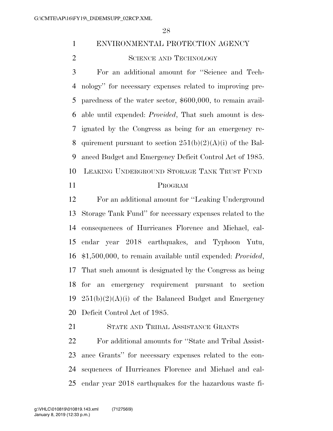# ENVIRONMENTAL PROTECTION AGENCY

2 SCIENCE AND TECHNOLOGY

 For an additional amount for ''Science and Tech- nology'' for necessary expenses related to improving pre- paredness of the water sector, \$600,000, to remain avail- able until expended: *Provided*, That such amount is des- ignated by the Congress as being for an emergency re-8 quirement pursuant to section  $251(b)(2)(A)(i)$  of the Bal- anced Budget and Emergency Deficit Control Act of 1985. LEAKING UNDERGROUND STORAGE TANK TRUST FUND

#### PROGRAM

 For an additional amount for ''Leaking Underground Storage Tank Fund'' for necessary expenses related to the consequences of Hurricanes Florence and Michael, cal- endar year 2018 earthquakes, and Typhoon Yutu, \$1,500,000, to remain available until expended: *Provided*, That such amount is designated by the Congress as being for an emergency requirement pursuant to section  $251(b)(2)(A)(i)$  of the Balanced Budget and Emergency Deficit Control Act of 1985.

STATE AND TRIBAL ASSISTANCE GRANTS

 For additional amounts for ''State and Tribal Assist- ance Grants'' for necessary expenses related to the con- sequences of Hurricanes Florence and Michael and cal-endar year 2018 earthquakes for the hazardous waste fi-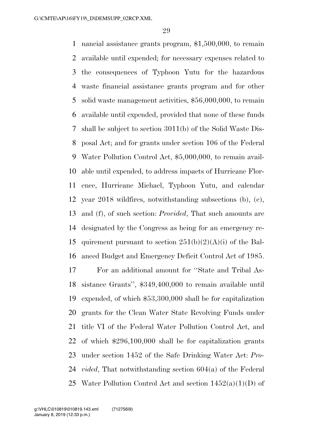nancial assistance grants program, \$1,500,000, to remain available until expended; for necessary expenses related to the consequences of Typhoon Yutu for the hazardous waste financial assistance grants program and for other solid waste management activities, \$56,000,000, to remain available until expended, provided that none of these funds shall be subject to section 3011(b) of the Solid Waste Dis- posal Act; and for grants under section 106 of the Federal Water Pollution Control Act, \$5,000,000, to remain avail- able until expended, to address impacts of Hurricane Flor- ence, Hurricane Michael, Typhoon Yutu, and calendar year 2018 wildfires, notwithstanding subsections (b), (e), and (f), of such section: *Provided*, That such amounts are designated by the Congress as being for an emergency re-15 quirement pursuant to section  $251(b)(2)(A)(i)$  of the Bal-anced Budget and Emergency Deficit Control Act of 1985.

 For an additional amount for ''State and Tribal As- sistance Grants'', \$349,400,000 to remain available until expended, of which \$53,300,000 shall be for capitalization grants for the Clean Water State Revolving Funds under title VI of the Federal Water Pollution Control Act, and of which \$296,100,000 shall be for capitalization grants under section 1452 of the Safe Drinking Water Act: *Pro- vided*, That notwithstanding section 604(a) of the Federal 25 Water Pollution Control Act and section  $1452(a)(1)(D)$  of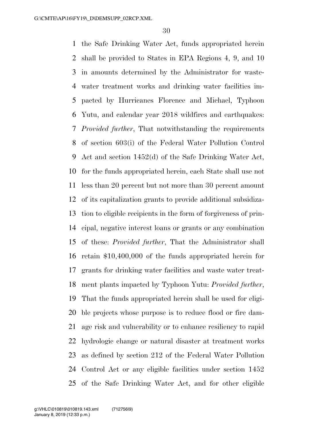the Safe Drinking Water Act, funds appropriated herein shall be provided to States in EPA Regions 4, 9, and 10 in amounts determined by the Administrator for waste- water treatment works and drinking water facilities im- pacted by Hurricanes Florence and Michael, Typhoon Yutu, and calendar year 2018 wildfires and earthquakes: *Provided further*, That notwithstanding the requirements of section 603(i) of the Federal Water Pollution Control Act and section 1452(d) of the Safe Drinking Water Act, for the funds appropriated herein, each State shall use not less than 20 percent but not more than 30 percent amount of its capitalization grants to provide additional subsidiza- tion to eligible recipients in the form of forgiveness of prin- cipal, negative interest loans or grants or any combination of these: *Provided further*, That the Administrator shall retain \$10,400,000 of the funds appropriated herein for grants for drinking water facilities and waste water treat- ment plants impacted by Typhoon Yutu: *Provided further*, That the funds appropriated herein shall be used for eligi- ble projects whose purpose is to reduce flood or fire dam- age risk and vulnerability or to enhance resiliency to rapid hydrologic change or natural disaster at treatment works as defined by section 212 of the Federal Water Pollution Control Act or any eligible facilities under section 1452 of the Safe Drinking Water Act, and for other eligible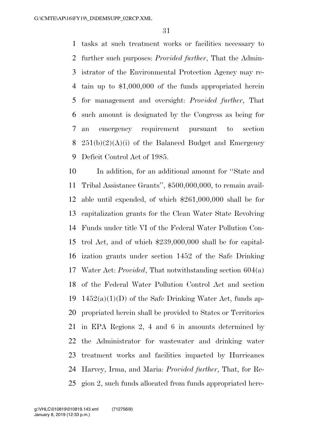tasks at such treatment works or facilities necessary to further such purposes: *Provided further*, That the Admin- istrator of the Environmental Protection Agency may re- tain up to \$1,000,000 of the funds appropriated herein for management and oversight: *Provided further*, That such amount is designated by the Congress as being for an emergency requirement pursuant to section  $251(b)(2)(A)(i)$  of the Balanced Budget and Emergency Deficit Control Act of 1985.

 In addition, for an additional amount for ''State and Tribal Assistance Grants'', \$500,000,000, to remain avail- able until expended, of which \$261,000,000 shall be for capitalization grants for the Clean Water State Revolving Funds under title VI of the Federal Water Pollution Con- trol Act, and of which \$239,000,000 shall be for capital- ization grants under section 1452 of the Safe Drinking Water Act: *Provided*, That notwithstanding section 604(a) of the Federal Water Pollution Control Act and section 19 1452(a)(1)(D) of the Safe Drinking Water Act, funds ap- propriated herein shall be provided to States or Territories in EPA Regions 2, 4 and 6 in amounts determined by the Administrator for wastewater and drinking water treatment works and facilities impacted by Hurricanes Harvey, Irma, and Maria: *Provided further*, That, for Re-gion 2, such funds allocated from funds appropriated here-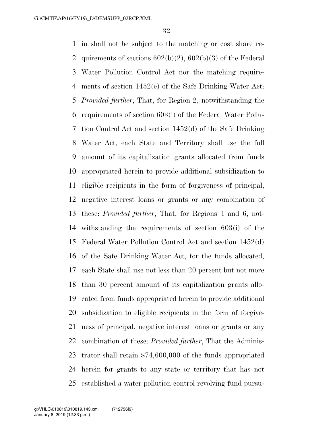in shall not be subject to the matching or cost share re-2 quirements of sections  $602(b)(2)$ ,  $602(b)(3)$  of the Federal Water Pollution Control Act nor the matching require- ments of section 1452(e) of the Safe Drinking Water Act: *Provided further*, That, for Region 2, notwithstanding the requirements of section 603(i) of the Federal Water Pollu- tion Control Act and section 1452(d) of the Safe Drinking Water Act, each State and Territory shall use the full amount of its capitalization grants allocated from funds appropriated herein to provide additional subsidization to eligible recipients in the form of forgiveness of principal, negative interest loans or grants or any combination of these: *Provided further*, That, for Regions 4 and 6, not- withstanding the requirements of section 603(i) of the Federal Water Pollution Control Act and section 1452(d) of the Safe Drinking Water Act, for the funds allocated, each State shall use not less than 20 percent but not more than 30 percent amount of its capitalization grants allo- cated from funds appropriated herein to provide additional subsidization to eligible recipients in the form of forgive- ness of principal, negative interest loans or grants or any combination of these: *Provided further*, That the Adminis- trator shall retain \$74,600,000 of the funds appropriated herein for grants to any state or territory that has not established a water pollution control revolving fund pursu-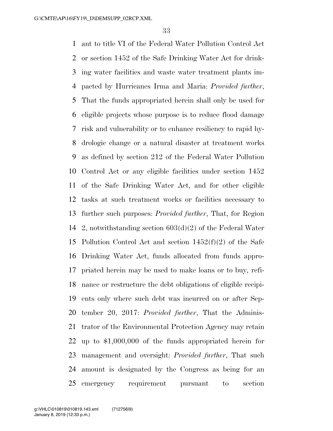ant to title VI of the Federal Water Pollution Control Act or section 1452 of the Safe Drinking Water Act for drink- ing water facilities and waste water treatment plants im- pacted by Hurricanes Irma and Maria: *Provided further*, That the funds appropriated herein shall only be used for eligible projects whose purpose is to reduce flood damage risk and vulnerability or to enhance resiliency to rapid hy- drologic change or a natural disaster at treatment works as defined by section 212 of the Federal Water Pollution Control Act or any eligible facilities under section 1452 of the Safe Drinking Water Act, and for other eligible tasks at such treatment works or facilities necessary to further such purposes: *Provided further*, That, for Region 2, notwithstanding section 603(d)(2) of the Federal Water Pollution Control Act and section 1452(f)(2) of the Safe Drinking Water Act, funds allocated from funds appro- priated herein may be used to make loans or to buy, refi- nance or restructure the debt obligations of eligible recipi- ents only where such debt was incurred on or after Sep- tember 20, 2017: *Provided further*, That the Adminis- trator of the Environmental Protection Agency may retain up to \$1,000,000 of the funds appropriated herein for management and oversight: *Provided further*, That such amount is designated by the Congress as being for an emergency requirement pursuant to section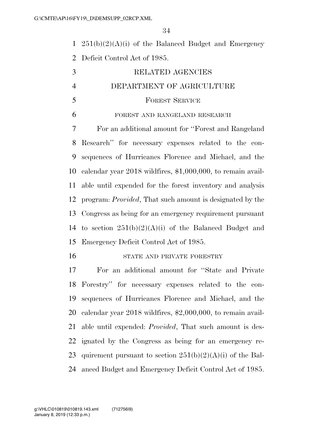1  $251(b)(2)(A)(i)$  of the Balanced Budget and Emergency Deficit Control Act of 1985.

| 3                        | RELATED AGENCIES          |
|--------------------------|---------------------------|
| $\overline{4}$           | DEPARTMENT OF AGRICULTURE |
| $\overline{\mathcal{L}}$ | <b>FOREST SERVICE</b>     |

# FOREST AND RANGELAND RESEARCH

 For an additional amount for ''Forest and Rangeland Research'' for necessary expenses related to the con- sequences of Hurricanes Florence and Michael, and the calendar year 2018 wildfires, \$1,000,000, to remain avail- able until expended for the forest inventory and analysis program: *Provided*, That such amount is designated by the Congress as being for an emergency requirement pursuant 14 to section  $251(b)(2)(A)(i)$  of the Balanced Budget and Emergency Deficit Control Act of 1985.

STATE AND PRIVATE FORESTRY

 For an additional amount for ''State and Private Forestry'' for necessary expenses related to the con- sequences of Hurricanes Florence and Michael, and the calendar year 2018 wildfires, \$2,000,000, to remain avail- able until expended: *Provided*, That such amount is des- ignated by the Congress as being for an emergency re-23 quirement pursuant to section  $251(b)(2)(A)(i)$  of the Bal-anced Budget and Emergency Deficit Control Act of 1985.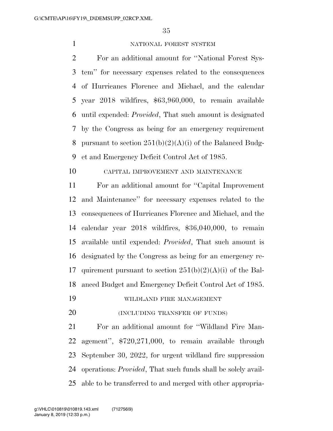#### 1 NATIONAL FOREST SYSTEM

 For an additional amount for ''National Forest Sys- tem'' for necessary expenses related to the consequences of Hurricanes Florence and Michael, and the calendar year 2018 wildfires, \$63,960,000, to remain available until expended: *Provided*, That such amount is designated by the Congress as being for an emergency requirement 8 pursuant to section  $251(b)(2)(A)(i)$  of the Balanced Budg-et and Emergency Deficit Control Act of 1985.

# CAPITAL IMPROVEMENT AND MAINTENANCE

 For an additional amount for ''Capital Improvement and Maintenance'' for necessary expenses related to the consequences of Hurricanes Florence and Michael, and the calendar year 2018 wildfires, \$36,040,000, to remain available until expended: *Provided*, That such amount is designated by the Congress as being for an emergency re-17 quirement pursuant to section  $251(b)(2)(A)(i)$  of the Bal-anced Budget and Emergency Deficit Control Act of 1985.

- WILDLAND FIRE MANAGEMENT
- **(INCLUDING TRANSFER OF FUNDS)**

 For an additional amount for ''Wildland Fire Man- agement'', \$720,271,000, to remain available through September 30, 2022, for urgent wildland fire suppression operations: *Provided*, That such funds shall be solely avail-able to be transferred to and merged with other appropria-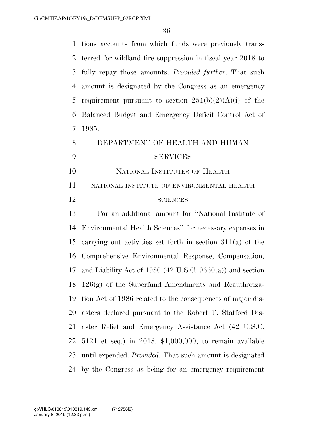| $\mathbf{1}$   | tions accounts from which funds were previously trans-           |
|----------------|------------------------------------------------------------------|
| 2              | ferred for wildland fire suppression in fiscal year 2018 to      |
| 3              | fully repay those amounts: <i>Provided further</i> , That such   |
| $\overline{4}$ | amount is designated by the Congress as an emergency             |
| 5              | requirement pursuant to section $251(b)(2)(A)(i)$ of the         |
| 6              | Balanced Budget and Emergency Deficit Control Act of             |
| $\overline{7}$ | 1985.                                                            |
| 8              | DEPARTMENT OF HEALTH AND HUMAN                                   |
| 9              | <b>SERVICES</b>                                                  |
| 10             | NATIONAL INSTITUTES OF HEALTH                                    |
| 11             | NATIONAL INSTITUTE OF ENVIRONMENTAL HEALTH                       |
| 12             | <b>SCIENCES</b>                                                  |
| 13             | For an additional amount for "National Institute of              |
| 14             | Environmental Health Sciences" for necessary expenses in         |
| 15             | carrying out activities set forth in section $311(a)$ of the     |
| 16             | Comprehensive Environmental Response, Compensation,              |
| 17             | and Liability Act of 1980 (42 U.S.C. 9660(a)) and section        |
|                | 18 $126(g)$ of the Superfund Amendments and Reauthoriza-         |
| 19             | tion Act of 1986 related to the consequences of major dis-       |
| 20             | asters declared pursuant to the Robert T. Stafford Dis-          |
| 21             | aster Relief and Emergency Assistance Act (42 U.S.C.             |
| 22             | 5121 et seq.) in 2018, $$1,000,000$ , to remain available        |
|                |                                                                  |
| 23             | until expended: <i>Provided</i> , That such amount is designated |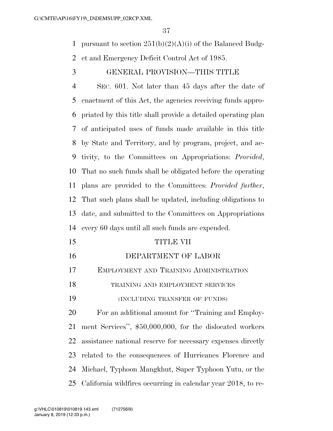1 pursuant to section  $251(b)(2)(A)(i)$  of the Balanced Budg-

et and Emergency Deficit Control Act of 1985.

GENERAL PROVISION—THIS TITLE

 SEC. 601. Not later than 45 days after the date of enactment of this Act, the agencies receiving funds appro- priated by this title shall provide a detailed operating plan of anticipated uses of funds made available in this title by State and Territory, and by program, project, and ac- tivity, to the Committees on Appropriations: *Provided*, That no such funds shall be obligated before the operating plans are provided to the Committees: *Provided further*, That such plans shall be updated, including obligations to date, and submitted to the Committees on Appropriations every 60 days until all such funds are expended.

- TITLE VII DEPARTMENT OF LABOR EMPLOYMENT AND TRAINING ADMINISTRATION 18 TRAINING AND EMPLOYMENT SERVICES (INCLUDING TRANSFER OF FUNDS) For an additional amount for ''Training and Employ- ment Services'', \$50,000,000, for the dislocated workers assistance national reserve for necessary expenses directly related to the consequences of Hurricanes Florence and
	- Michael, Typhoon Mangkhut, Super Typhoon Yutu, or the California wildfires occurring in calendar year 2018, to re-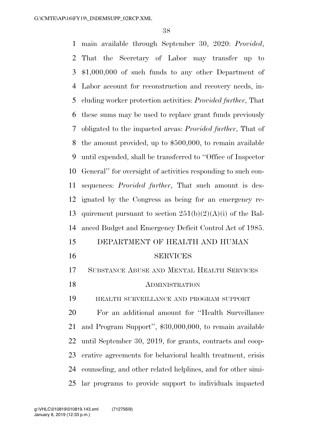main available through September 30, 2020: *Provided*, That the Secretary of Labor may transfer up to \$1,000,000 of such funds to any other Department of Labor account for reconstruction and recovery needs, in- cluding worker protection activities: *Provided further*, That these sums may be used to replace grant funds previously obligated to the impacted areas: *Provided further*, That of the amount provided, up to \$500,000, to remain available until expended, shall be transferred to ''Office of Inspector General'' for oversight of activities responding to such con- sequences: *Provided further*, That such amount is des- ignated by the Congress as being for an emergency re-13 quirement pursuant to section  $251(b)(2)(A)(i)$  of the Bal- anced Budget and Emergency Deficit Control Act of 1985. DEPARTMENT OF HEALTH AND HUMAN SERVICES SUBSTANCE ABUSE AND MENTAL HEALTH SERVICES 18 ADMINISTRATION HEALTH SURVEILLANCE AND PROGRAM SUPPORT For an additional amount for ''Health Surveillance and Program Support'', \$30,000,000, to remain available until September 30, 2019, for grants, contracts and coop- erative agreements for behavioral health treatment, crisis counseling, and other related helplines, and for other simi-

lar programs to provide support to individuals impacted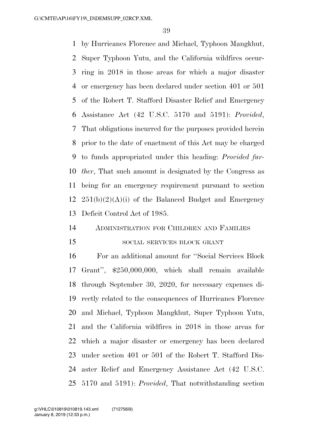by Hurricanes Florence and Michael, Typhoon Mangkhut, Super Typhoon Yutu, and the California wildfires occur- ring in 2018 in those areas for which a major disaster or emergency has been declared under section 401 or 501 of the Robert T. Stafford Disaster Relief and Emergency Assistance Act (42 U.S.C. 5170 and 5191): *Provided*, That obligations incurred for the purposes provided herein prior to the date of enactment of this Act may be charged to funds appropriated under this heading: *Provided fur- ther*, That such amount is designated by the Congress as being for an emergency requirement pursuant to section  $251(b)(2)(A)(i)$  of the Balanced Budget and Emergency Deficit Control Act of 1985.

#### ADMINISTRATION FOR CHILDREN AND FAMILIES

#### 15 SOCIAL SERVICES BLOCK GRANT

 For an additional amount for ''Social Services Block Grant'', \$250,000,000, which shall remain available through September 30, 2020, for necessary expenses di- rectly related to the consequences of Hurricanes Florence and Michael, Typhoon Mangkhut, Super Typhoon Yutu, and the California wildfires in 2018 in those areas for which a major disaster or emergency has been declared under section 401 or 501 of the Robert T. Stafford Dis- aster Relief and Emergency Assistance Act (42 U.S.C. 5170 and 5191): *Provided*, That notwithstanding section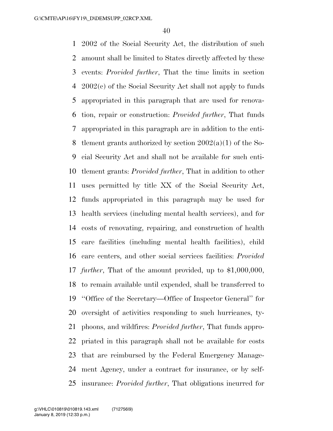2002 of the Social Security Act, the distribution of such amount shall be limited to States directly affected by these events: *Provided further*, That the time limits in section 2002(c) of the Social Security Act shall not apply to funds appropriated in this paragraph that are used for renova- tion, repair or construction: *Provided further*, That funds appropriated in this paragraph are in addition to the enti- tlement grants authorized by section 2002(a)(1) of the So- cial Security Act and shall not be available for such enti- tlement grants: *Provided further*, That in addition to other uses permitted by title XX of the Social Security Act, funds appropriated in this paragraph may be used for health services (including mental health services), and for costs of renovating, repairing, and construction of health care facilities (including mental health facilities), child care centers, and other social services facilities: *Provided further*, That of the amount provided, up to \$1,000,000, to remain available until expended, shall be transferred to ''Office of the Secretary—Office of Inspector General'' for oversight of activities responding to such hurricanes, ty- phoons, and wildfires: *Provided further*, That funds appro- priated in this paragraph shall not be available for costs that are reimbursed by the Federal Emergency Manage- ment Agency, under a contract for insurance, or by self-insurance: *Provided further*, That obligations incurred for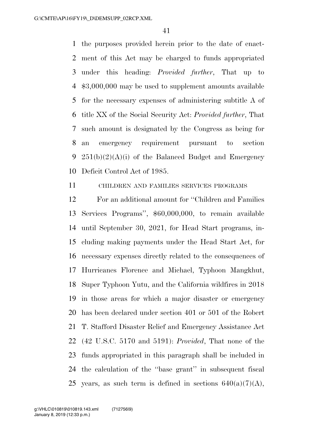the purposes provided herein prior to the date of enact- ment of this Act may be charged to funds appropriated under this heading: *Provided further*, That up to \$3,000,000 may be used to supplement amounts available for the necessary expenses of administering subtitle A of title XX of the Social Security Act: *Provided further*, That such amount is designated by the Congress as being for an emergency requirement pursuant to section 9 251(b)(2)(A)(i) of the Balanced Budget and Emergency Deficit Control Act of 1985.

CHILDREN AND FAMILIES SERVICES PROGRAMS

 For an additional amount for ''Children and Families Services Programs'', \$60,000,000, to remain available until September 30, 2021, for Head Start programs, in- cluding making payments under the Head Start Act, for necessary expenses directly related to the consequences of Hurricanes Florence and Michael, Typhoon Mangkhut, Super Typhoon Yutu, and the California wildfires in 2018 in those areas for which a major disaster or emergency has been declared under section 401 or 501 of the Robert T. Stafford Disaster Relief and Emergency Assistance Act (42 U.S.C. 5170 and 5191): *Provided*, That none of the funds appropriated in this paragraph shall be included in the calculation of the ''base grant'' in subsequent fiscal 25 years, as such term is defined in sections  $640(a)(7)(A)$ ,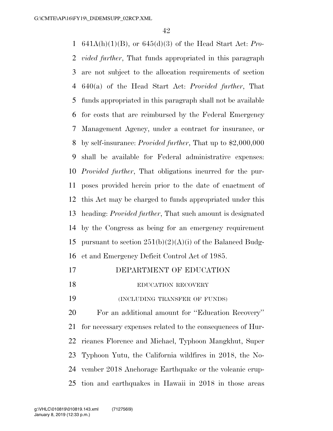641A(h)(1)(B), or 645(d)(3) of the Head Start Act: *Pro- vided further*, That funds appropriated in this paragraph are not subject to the allocation requirements of section 640(a) of the Head Start Act: *Provided further*, That funds appropriated in this paragraph shall not be available for costs that are reimbursed by the Federal Emergency Management Agency, under a contract for insurance, or by self-insurance: *Provided further*, That up to \$2,000,000 shall be available for Federal administrative expenses: *Provided further*, That obligations incurred for the pur- poses provided herein prior to the date of enactment of this Act may be charged to funds appropriated under this heading: *Provided further*, That such amount is designated by the Congress as being for an emergency requirement 15 pursuant to section  $251(b)(2)(A)(i)$  of the Balanced Budg-et and Emergency Deficit Control Act of 1985.

- DEPARTMENT OF EDUCATION
- 18 EDUCATION RECOVERY

(INCLUDING TRANSFER OF FUNDS)

 For an additional amount for ''Education Recovery'' for necessary expenses related to the consequences of Hur- ricanes Florence and Michael, Typhoon Mangkhut, Super Typhoon Yutu, the California wildfires in 2018, the No- vember 2018 Anchorage Earthquake or the volcanic erup-tion and earthquakes in Hawaii in 2018 in those areas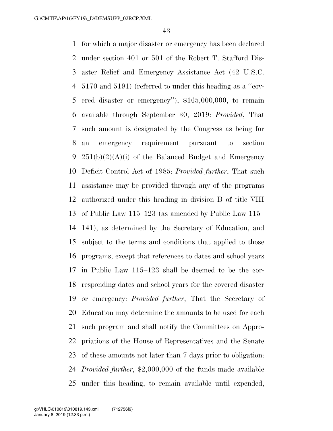for which a major disaster or emergency has been declared under section 401 or 501 of the Robert T. Stafford Dis- aster Relief and Emergency Assistance Act (42 U.S.C. 5170 and 5191) (referred to under this heading as a ''cov- ered disaster or emergency''), \$165,000,000, to remain available through September 30, 2019: *Provided*, That such amount is designated by the Congress as being for an emergency requirement pursuant to section 9 251(b)(2)(A)(i) of the Balanced Budget and Emergency Deficit Control Act of 1985: *Provided further*, That such assistance may be provided through any of the programs authorized under this heading in division B of title VIII of Public Law 115–123 (as amended by Public Law 115– 141), as determined by the Secretary of Education, and subject to the terms and conditions that applied to those programs, except that references to dates and school years in Public Law 115–123 shall be deemed to be the cor- responding dates and school years for the covered disaster or emergency: *Provided further*, That the Secretary of Education may determine the amounts to be used for each such program and shall notify the Committees on Appro- priations of the House of Representatives and the Senate of these amounts not later than 7 days prior to obligation: *Provided further*, \$2,000,000 of the funds made available under this heading, to remain available until expended,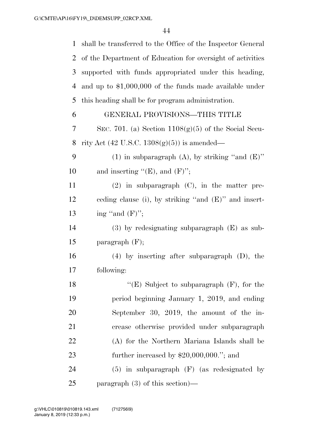| 1              | shall be transferred to the Office of the Inspector General |
|----------------|-------------------------------------------------------------|
| $\overline{2}$ | of the Department of Education for oversight of activities  |
| 3              | supported with funds appropriated under this heading,       |
| 4              | and up to $$1,000,000$ of the funds made available under    |
| 5              | this heading shall be for program administration.           |
| 6              | GENERAL PROVISIONS—THIS TITLE                               |
| 7              | SEC. 701. (a) Section $1108(g)(5)$ of the Social Secu-      |
| 8              | rity Act $(42 \text{ U.S.C. } 1308(g)(5))$ is amended—      |
| 9              | (1) in subparagraph (A), by striking "and $(E)$ "           |
| 10             | and inserting " $(E)$ , and $(F)$ ";                        |
| 11             | $(2)$ in subparagraph $(C)$ , in the matter pre-            |
| 12             | ceding clause (i), by striking "and $(E)$ " and insert-     |
| 13             | ing "and $(F)$ ";                                           |
| 14             | $(3)$ by redesignating subparagraph $(E)$ as sub-           |
| 15             | paragraph $(F)$ ;                                           |
| 16             | $(4)$ by inserting after subparagraph $(D)$ , the           |
| 17             | following:                                                  |
| 18             | " $(E)$ Subject to subparagraph $(F)$ , for the             |
| 19             | period beginning January 1, 2019, and ending                |
| 20             | September 30, 2019, the amount of the in-                   |
| 21             | crease otherwise provided under subparagraph                |
| 22             | (A) for the Northern Mariana Islands shall be               |
| 23             | further increased by $$20,000,000."$ ; and                  |
| 24             | $(5)$ in subparagraph $(F)$ (as redesignated by             |
| 25             | paragraph $(3)$ of this section)—                           |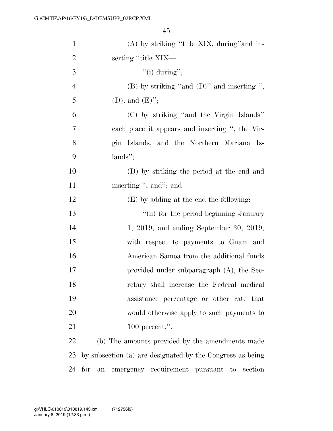| $\mathbf{1}$   | $(A)$ by striking "title XIX, during" and in-             |
|----------------|-----------------------------------------------------------|
| $\overline{2}$ | serting "title XIX-                                       |
| 3              | "(i) during";                                             |
| $\overline{4}$ | (B) by striking "and $(D)$ " and inserting ",             |
| 5              | $(D)$ , and $(E)$ ";                                      |
| 6              | (C) by striking "and the Virgin Islands"                  |
| 7              | each place it appears and inserting ", the Vir-           |
| 8              | gin Islands, and the Northern Mariana Is-                 |
| 9              | $lands''$ ;                                               |
| 10             | (D) by striking the period at the end and                 |
| 11             | inserting "; and"; and                                    |
| 12             | $(E)$ by adding at the end the following:                 |
| 13             | "(ii) for the period beginning January                    |
| 14             | $1, 2019$ , and ending September 30, 2019,                |
| 15             | with respect to payments to Guam and                      |
| 16             | American Samoa from the additional funds                  |
| 17             | provided under subparagraph (A), the Sec-                 |
| 18             | retary shall increase the Federal medical                 |
| 19             | assistance percentage or other rate that                  |
| 20             | would otherwise apply to such payments to                 |
| 21             | 100 percent.".                                            |
| 22             | (b) The amounts provided by the amendments made           |
| 23             | by subsection (a) are designated by the Congress as being |
| 24             | an emergency requirement pursuant to<br>for<br>section    |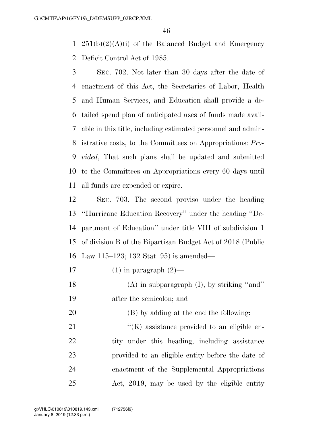1  $251(b)(2)(A)(i)$  of the Balanced Budget and Emergency Deficit Control Act of 1985.

 SEC. 702. Not later than 30 days after the date of enactment of this Act, the Secretaries of Labor, Health and Human Services, and Education shall provide a de- tailed spend plan of anticipated uses of funds made avail- able in this title, including estimated personnel and admin- istrative costs, to the Committees on Appropriations: *Pro- vided*, That such plans shall be updated and submitted to the Committees on Appropriations every 60 days until all funds are expended or expire.

 SEC. 703. The second proviso under the heading ''Hurricane Education Recovery'' under the heading ''De- partment of Education'' under title VIII of subdivision 1 of division B of the Bipartisan Budget Act of 2018 (Public Law 115–123; 132 Stat. 95) is amended—

- 17 (1) in paragraph  $(2)$ —
- 18 (A) in subparagraph (I), by striking "and" after the semicolon; and
- (B) by adding at the end the following:

 $\langle K \rangle$  assistance provided to an eligible en-22 tity under this heading, including assistance provided to an eligible entity before the date of enactment of the Supplemental Appropriations Act, 2019, may be used by the eligible entity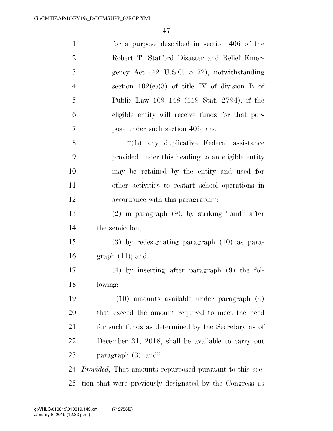| $\mathbf{1}$   | for a purpose described in section 406 of the                   |
|----------------|-----------------------------------------------------------------|
| $\overline{2}$ | Robert T. Stafford Disaster and Relief Emer-                    |
| 3              | gency Act (42 U.S.C. 5172), notwithstanding                     |
| $\overline{4}$ | section $102(e)(3)$ of title IV of division B of                |
| 5              | Public Law 109–148 (119 Stat. 2794), if the                     |
| 6              | eligible entity will receive funds for that pur-                |
| 7              | pose under such section 406; and                                |
| 8              | "(L) any duplicative Federal assistance                         |
| 9              | provided under this heading to an eligible entity               |
| 10             | may be retained by the entity and used for                      |
| 11             | other activities to restart school operations in                |
| 12             | accordance with this paragraph;";                               |
| 13             | $(2)$ in paragraph $(9)$ , by striking "and" after              |
| 14             | the semicolon;                                                  |
| 15             | $(3)$ by redesignating paragraph $(10)$ as para-                |
| 16             | $graph(11);$ and                                                |
| $17\,$         | $(4)$ by inserting after paragraph $(9)$ the fol-               |
| 18             | lowing:                                                         |
| 19             | $``(10)$ amounts available under paragraph $(4)$                |
| 20             | that exceed the amount required to meet the need                |
| 21             | for such funds as determined by the Secretary as of             |
| 22             | December 31, 2018, shall be available to carry out              |
| 23             | paragraph $(3)$ ; and":                                         |
| 24             | <i>Provided</i> , That amounts repurposed pursuant to this sec- |
| 25             | tion that were previously designated by the Congress as         |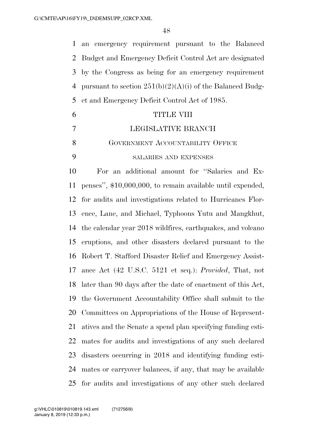an emergency requirement pursuant to the Balanced Budget and Emergency Deficit Control Act are designated by the Congress as being for an emergency requirement 4 pursuant to section  $251(b)(2)(A)(i)$  of the Balanced Budg-et and Emergency Deficit Control Act of 1985.

|   | TITLE VIII                       |
|---|----------------------------------|
|   | LEGISLATIVE BRANCH               |
| 8 | GOVERNMENT ACCOUNTABILITY OFFICE |
| Q | <b>SALARIES AND EXPENSES</b>     |

 For an additional amount for ''Salaries and Ex- penses'', \$10,000,000, to remain available until expended, for audits and investigations related to Hurricanes Flor- ence, Lane, and Michael, Typhoons Yutu and Mangkhut, the calendar year 2018 wildfires, earthquakes, and volcano eruptions, and other disasters declared pursuant to the Robert T. Stafford Disaster Relief and Emergency Assist- ance Act (42 U.S.C. 5121 et seq.): *Provided*, That, not later than 90 days after the date of enactment of this Act, the Government Accountability Office shall submit to the Committees on Appropriations of the House of Represent- atives and the Senate a spend plan specifying funding esti- mates for audits and investigations of any such declared disasters occurring in 2018 and identifying funding esti- mates or carryover balances, if any, that may be available for audits and investigations of any other such declared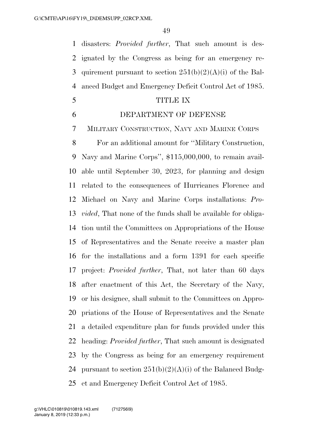disasters: *Provided further*, That such amount is des- ignated by the Congress as being for an emergency re-3 quirement pursuant to section  $251(b)(2)(A)(i)$  of the Bal-anced Budget and Emergency Deficit Control Act of 1985.

#### TITLE IX

# DEPARTMENT OF DEFENSE

MILITARY CONSTRUCTION, NAVY AND MARINE CORPS

 For an additional amount for ''Military Construction, Navy and Marine Corps'', \$115,000,000, to remain avail- able until September 30, 2023, for planning and design related to the consequences of Hurricanes Florence and Michael on Navy and Marine Corps installations: *Pro- vided*, That none of the funds shall be available for obliga- tion until the Committees on Appropriations of the House of Representatives and the Senate receive a master plan for the installations and a form 1391 for each specific project: *Provided further*, That, not later than 60 days after enactment of this Act, the Secretary of the Navy, or his designee, shall submit to the Committees on Appro- priations of the House of Representatives and the Senate a detailed expenditure plan for funds provided under this heading: *Provided further*, That such amount is designated by the Congress as being for an emergency requirement 24 pursuant to section  $251(b)(2)(A)(i)$  of the Balanced Budg-et and Emergency Deficit Control Act of 1985.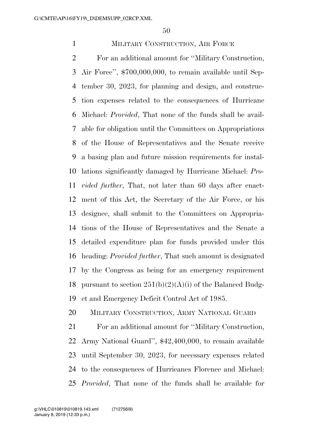# MILITARY CONSTRUCTION, AIR FORCE

 For an additional amount for ''Military Construction, Air Force'', \$700,000,000, to remain available until Sep- tember 30, 2023, for planning and design, and construc- tion expenses related to the consequences of Hurricane Michael: *Provided*, That none of the funds shall be avail- able for obligation until the Committees on Appropriations of the House of Representatives and the Senate receive a basing plan and future mission requirements for instal- lations significantly damaged by Hurricane Michael: *Pro- vided further*, That, not later than 60 days after enact- ment of this Act, the Secretary of the Air Force, or his designee, shall submit to the Committees on Appropria- tions of the House of Representatives and the Senate a detailed expenditure plan for funds provided under this heading: *Provided further*, That such amount is designated by the Congress as being for an emergency requirement 18 pursuant to section  $251(b)(2)(A)(i)$  of the Balanced Budg-et and Emergency Deficit Control Act of 1985.

# MILITARY CONSTRUCTION, ARMY NATIONAL GUARD

 For an additional amount for ''Military Construction, Army National Guard'', \$42,400,000, to remain available until September 30, 2023, for necessary expenses related to the consequences of Hurricanes Florence and Michael: *Provided*, That none of the funds shall be available for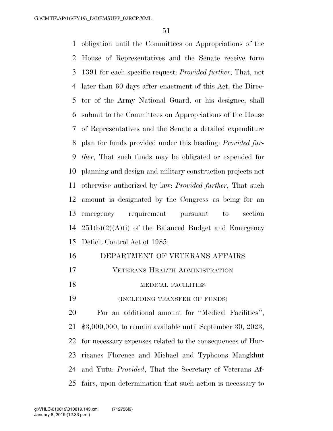obligation until the Committees on Appropriations of the House of Representatives and the Senate receive form 1391 for each specific request: *Provided further*, That, not later than 60 days after enactment of this Act, the Direc- tor of the Army National Guard, or his designee, shall submit to the Committees on Appropriations of the House of Representatives and the Senate a detailed expenditure plan for funds provided under this heading: *Provided fur- ther*, That such funds may be obligated or expended for planning and design and military construction projects not otherwise authorized by law: *Provided further*, That such amount is designated by the Congress as being for an emergency requirement pursuant to section  $251(b)(2)(A)(i)$  of the Balanced Budget and Emergency Deficit Control Act of 1985.

# DEPARTMENT OF VETERANS AFFAIRS

VETERANS HEALTH ADMINISTRATION

# 18 MEDICAL FACILITIES

(INCLUDING TRANSFER OF FUNDS)

 For an additional amount for ''Medical Facilities'', \$3,000,000, to remain available until September 30, 2023, for necessary expenses related to the consequences of Hur- ricanes Florence and Michael and Typhoons Mangkhut and Yutu: *Provided*, That the Secretary of Veterans Af-fairs, upon determination that such action is necessary to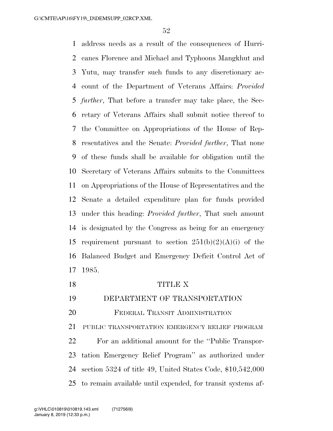address needs as a result of the consequences of Hurri- canes Florence and Michael and Typhoons Mangkhut and Yutu, may transfer such funds to any discretionary ac- count of the Department of Veterans Affairs: *Provided further*, That before a transfer may take place, the Sec- retary of Veterans Affairs shall submit notice thereof to the Committee on Appropriations of the House of Rep- resentatives and the Senate: *Provided further*, That none of these funds shall be available for obligation until the Secretary of Veterans Affairs submits to the Committees on Appropriations of the House of Representatives and the Senate a detailed expenditure plan for funds provided under this heading: *Provided further*, That such amount is designated by the Congress as being for an emergency 15 requirement pursuant to section  $251(b)(2)(A)(i)$  of the Balanced Budget and Emergency Deficit Control Act of 1985.

 TITLE X DEPARTMENT OF TRANSPORTATION FEDERAL TRANSIT ADMINISTRATION PUBLIC TRANSPORTATION EMERGENCY RELIEF PROGRAM For an additional amount for the ''Public Transpor- tation Emergency Relief Program'' as authorized under section 5324 of title 49, United States Code, \$10,542,000 to remain available until expended, for transit systems af-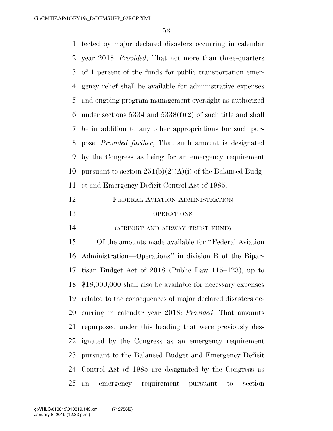fected by major declared disasters occurring in calendar year 2018: *Provided*, That not more than three-quarters of 1 percent of the funds for public transportation emer- gency relief shall be available for administrative expenses and ongoing program management oversight as authorized 6 under sections and  $5338(f)(2)$  of such title and shall be in addition to any other appropriations for such pur- pose: *Provided further*, That such amount is designated by the Congress as being for an emergency requirement 10 pursuant to section  $251(b)(2)(A)(i)$  of the Balanced Budg- et and Emergency Deficit Control Act of 1985. FEDERAL AVIATION ADMINISTRATION OPERATIONS (AIRPORT AND AIRWAY TRUST FUND) Of the amounts made available for ''Federal Aviation Administration—Operations'' in division B of the Bipar- tisan Budget Act of 2018 (Public Law 115–123), up to \$18,000,000 shall also be available for necessary expenses related to the consequences of major declared disasters oc- curring in calendar year 2018: *Provided*, That amounts repurposed under this heading that were previously des- ignated by the Congress as an emergency requirement pursuant to the Balanced Budget and Emergency Deficit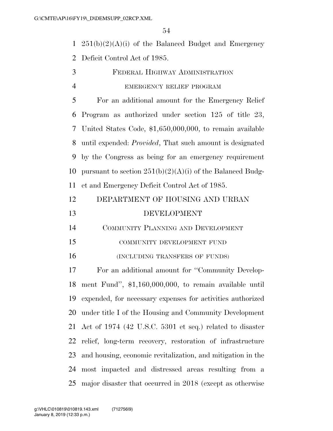1  $251(b)(2)(A)(i)$  of the Balanced Budget and Emergency Deficit Control Act of 1985.

 FEDERAL HIGHWAY ADMINISTRATION EMERGENCY RELIEF PROGRAM

 For an additional amount for the Emergency Relief Program as authorized under section 125 of title 23, United States Code, \$1,650,000,000, to remain available until expended: *Provided*, That such amount is designated by the Congress as being for an emergency requirement 10 pursuant to section  $251(b)(2)(A)(i)$  of the Balanced Budg-et and Emergency Deficit Control Act of 1985.

| 12 | DEPARTMENT OF HOUSING AND URBAN |
|----|---------------------------------|
| 13 | DEVELOPMENT                     |

COMMUNITY PLANNING AND DEVELOPMENT

COMMUNITY DEVELOPMENT FUND

(INCLUDING TRANSFERS OF FUNDS)

 For an additional amount for ''Community Develop- ment Fund'', \$1,160,000,000, to remain available until expended, for necessary expenses for activities authorized under title I of the Housing and Community Development Act of 1974 (42 U.S.C. 5301 et seq.) related to disaster relief, long-term recovery, restoration of infrastructure and housing, economic revitalization, and mitigation in the most impacted and distressed areas resulting from a major disaster that occurred in 2018 (except as otherwise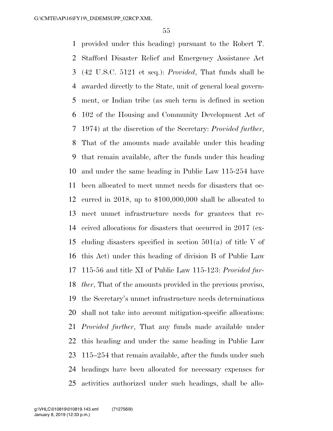provided under this heading) pursuant to the Robert T. Stafford Disaster Relief and Emergency Assistance Act (42 U.S.C. 5121 et seq.): *Provided*, That funds shall be awarded directly to the State, unit of general local govern- ment, or Indian tribe (as such term is defined in section 102 of the Housing and Community Development Act of 1974) at the discretion of the Secretary: *Provided further*, That of the amounts made available under this heading that remain available, after the funds under this heading and under the same heading in Public Law 115-254 have been allocated to meet unmet needs for disasters that oc- curred in 2018, up to \$100,000,000 shall be allocated to meet unmet infrastructure needs for grantees that re- ceived allocations for disasters that occurred in 2017 (ex- cluding disasters specified in section 501(a) of title V of this Act) under this heading of division B of Public Law 115-56 and title XI of Public Law 115-123: *Provided fur- ther*, That of the amounts provided in the previous proviso, the Secretary's unmet infrastructure needs determinations shall not take into account mitigation-specific allocations: *Provided further*, That any funds made available under this heading and under the same heading in Public Law 115–254 that remain available, after the funds under such headings have been allocated for necessary expenses for activities authorized under such headings, shall be allo-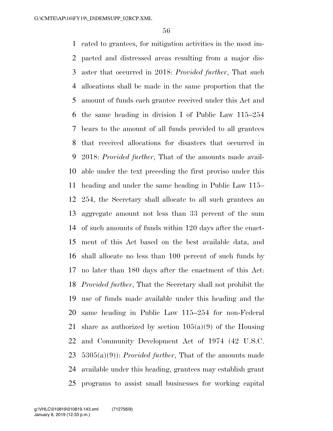cated to grantees, for mitigation activities in the most im- pacted and distressed areas resulting from a major dis- aster that occurred in 2018: *Provided further*, That such allocations shall be made in the same proportion that the amount of funds each grantee received under this Act and the same heading in division I of Public Law 115–254 bears to the amount of all funds provided to all grantees that received allocations for disasters that occurred in 2018: *Provided further*, That of the amounts made avail- able under the text preceding the first proviso under this heading and under the same heading in Public Law 115– 254, the Secretary shall allocate to all such grantees an aggregate amount not less than 33 percent of the sum of such amounts of funds within 120 days after the enact- ment of this Act based on the best available data, and shall allocate no less than 100 percent of such funds by no later than 180 days after the enactment of this Act: *Provided further*, That the Secretary shall not prohibit the use of funds made available under this heading and the same heading in Public Law 115–254 for non-Federal 21 share as authorized by section  $105(a)(9)$  of the Housing and Community Development Act of 1974 (42 U.S.C. 5305(a)(9)): *Provided further*, That of the amounts made available under this heading, grantees may establish grant programs to assist small businesses for working capital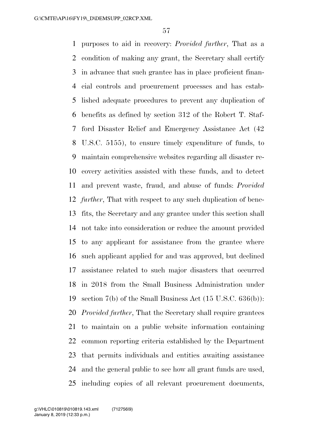purposes to aid in recovery: *Provided further*, That as a condition of making any grant, the Secretary shall certify in advance that such grantee has in place proficient finan- cial controls and procurement processes and has estab- lished adequate procedures to prevent any duplication of benefits as defined by section 312 of the Robert T. Staf- ford Disaster Relief and Emergency Assistance Act (42 U.S.C. 5155), to ensure timely expenditure of funds, to maintain comprehensive websites regarding all disaster re- covery activities assisted with these funds, and to detect and prevent waste, fraud, and abuse of funds: *Provided further*, That with respect to any such duplication of bene- fits, the Secretary and any grantee under this section shall not take into consideration or reduce the amount provided to any applicant for assistance from the grantee where such applicant applied for and was approved, but declined assistance related to such major disasters that occurred in 2018 from the Small Business Administration under section 7(b) of the Small Business Act (15 U.S.C. 636(b)): *Provided further*, That the Secretary shall require grantees to maintain on a public website information containing common reporting criteria established by the Department that permits individuals and entities awaiting assistance and the general public to see how all grant funds are used, including copies of all relevant procurement documents,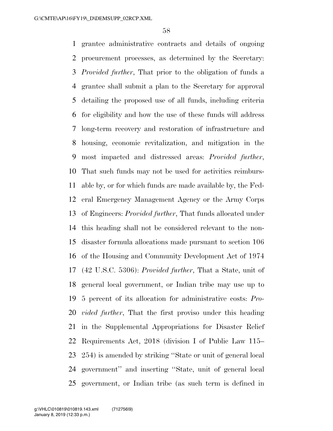grantee administrative contracts and details of ongoing procurement processes, as determined by the Secretary: *Provided further*, That prior to the obligation of funds a grantee shall submit a plan to the Secretary for approval detailing the proposed use of all funds, including criteria for eligibility and how the use of these funds will address long-term recovery and restoration of infrastructure and housing, economic revitalization, and mitigation in the most impacted and distressed areas: *Provided further*, That such funds may not be used for activities reimburs- able by, or for which funds are made available by, the Fed- eral Emergency Management Agency or the Army Corps of Engineers: *Provided further*, That funds allocated under this heading shall not be considered relevant to the non- disaster formula allocations made pursuant to section 106 of the Housing and Community Development Act of 1974 (42 U.S.C. 5306): *Provided further*, That a State, unit of general local government, or Indian tribe may use up to 5 percent of its allocation for administrative costs: *Pro- vided further*, That the first proviso under this heading in the Supplemental Appropriations for Disaster Relief Requirements Act, 2018 (division I of Public Law 115– 254) is amended by striking ''State or unit of general local government'' and inserting ''State, unit of general local government, or Indian tribe (as such term is defined in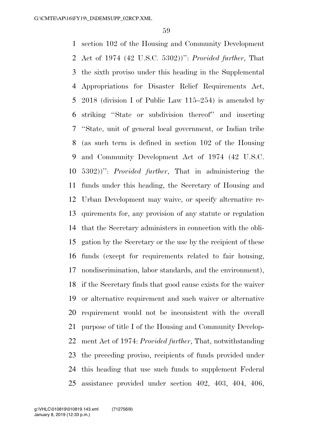section 102 of the Housing and Community Development Act of 1974 (42 U.S.C. 5302))'': *Provided further*, That the sixth proviso under this heading in the Supplemental Appropriations for Disaster Relief Requirements Act, 2018 (division I of Public Law 115–254) is amended by striking ''State or subdivision thereof'' and inserting ''State, unit of general local government, or Indian tribe (as such term is defined in section 102 of the Housing and Community Development Act of 1974 (42 U.S.C. 5302))'': *Provided further*, That in administering the funds under this heading, the Secretary of Housing and Urban Development may waive, or specify alternative re- quirements for, any provision of any statute or regulation that the Secretary administers in connection with the obli- gation by the Secretary or the use by the recipient of these funds (except for requirements related to fair housing, nondiscrimination, labor standards, and the environment), if the Secretary finds that good cause exists for the waiver or alternative requirement and such waiver or alternative requirement would not be inconsistent with the overall purpose of title I of the Housing and Community Develop- ment Act of 1974: *Provided further*, That, notwithstanding the preceding proviso, recipients of funds provided under this heading that use such funds to supplement Federal assistance provided under section 402, 403, 404, 406,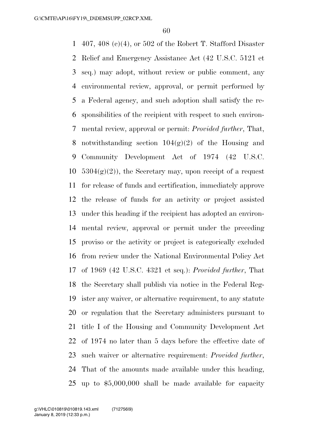407, 408 (c)(4), or 502 of the Robert T. Stafford Disaster Relief and Emergency Assistance Act (42 U.S.C. 5121 et seq.) may adopt, without review or public comment, any environmental review, approval, or permit performed by a Federal agency, and such adoption shall satisfy the re- sponsibilities of the recipient with respect to such environ- mental review, approval or permit: *Provided further*, That, 8 notwithstanding section  $104(g)(2)$  of the Housing and Community Development Act of 1974 (42 U.S.C.  $5304(g)(2)$ , the Secretary may, upon receipt of a request for release of funds and certification, immediately approve the release of funds for an activity or project assisted under this heading if the recipient has adopted an environ- mental review, approval or permit under the preceding proviso or the activity or project is categorically excluded from review under the National Environmental Policy Act of 1969 (42 U.S.C. 4321 et seq.): *Provided further*, That the Secretary shall publish via notice in the Federal Reg- ister any waiver, or alternative requirement, to any statute or regulation that the Secretary administers pursuant to title I of the Housing and Community Development Act of 1974 no later than 5 days before the effective date of such waiver or alternative requirement: *Provided further*, That of the amounts made available under this heading, up to \$5,000,000 shall be made available for capacity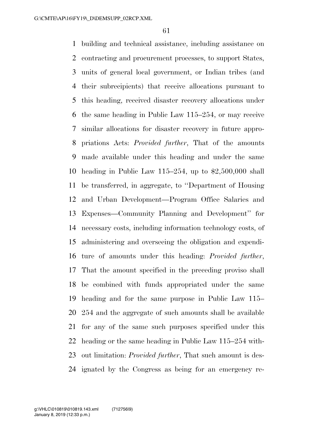building and technical assistance, including assistance on contracting and procurement processes, to support States, units of general local government, or Indian tribes (and their subrecipients) that receive allocations pursuant to this heading, received disaster recovery allocations under the same heading in Public Law 115–254, or may receive similar allocations for disaster recovery in future appro- priations Acts: *Provided further*, That of the amounts made available under this heading and under the same heading in Public Law 115–254, up to \$2,500,000 shall be transferred, in aggregate, to ''Department of Housing and Urban Development—Program Office Salaries and Expenses—Community Planning and Development'' for necessary costs, including information technology costs, of administering and overseeing the obligation and expendi- ture of amounts under this heading: *Provided further*, That the amount specified in the preceding proviso shall be combined with funds appropriated under the same heading and for the same purpose in Public Law 115– 254 and the aggregate of such amounts shall be available for any of the same such purposes specified under this heading or the same heading in Public Law 115–254 with- out limitation: *Provided further*, That such amount is des-ignated by the Congress as being for an emergency re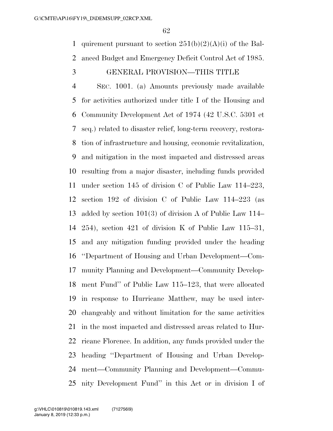1 quirement pursuant to section  $251(b)(2)(A)(i)$  of the Bal-anced Budget and Emergency Deficit Control Act of 1985.

#### GENERAL PROVISION—THIS TITLE

 SEC. 1001. (a) Amounts previously made available for activities authorized under title I of the Housing and Community Development Act of 1974 (42 U.S.C. 5301 et seq.) related to disaster relief, long-term recovery, restora- tion of infrastructure and housing, economic revitalization, and mitigation in the most impacted and distressed areas resulting from a major disaster, including funds provided under section 145 of division C of Public Law 114–223, section 192 of division C of Public Law 114–223 (as added by section 101(3) of division A of Public Law 114– 254), section 421 of division K of Public Law 115–31, and any mitigation funding provided under the heading ''Department of Housing and Urban Development—Com- munity Planning and Development—Community Develop- ment Fund'' of Public Law 115–123, that were allocated in response to Hurricane Matthew, may be used inter- changeably and without limitation for the same activities in the most impacted and distressed areas related to Hur- ricane Florence. In addition, any funds provided under the heading ''Department of Housing and Urban Develop- ment—Community Planning and Development—Commu-nity Development Fund'' in this Act or in division I of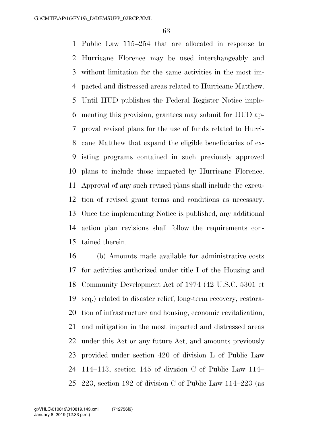Public Law 115–254 that are allocated in response to Hurricane Florence may be used interchangeably and without limitation for the same activities in the most im- pacted and distressed areas related to Hurricane Matthew. Until HUD publishes the Federal Register Notice imple- menting this provision, grantees may submit for HUD ap- proval revised plans for the use of funds related to Hurri- cane Matthew that expand the eligible beneficiaries of ex- isting programs contained in such previously approved plans to include those impacted by Hurricane Florence. Approval of any such revised plans shall include the execu- tion of revised grant terms and conditions as necessary. Once the implementing Notice is published, any additional action plan revisions shall follow the requirements con-tained therein.

 (b) Amounts made available for administrative costs for activities authorized under title I of the Housing and Community Development Act of 1974 (42 U.S.C. 5301 et seq.) related to disaster relief, long-term recovery, restora- tion of infrastructure and housing, economic revitalization, and mitigation in the most impacted and distressed areas under this Act or any future Act, and amounts previously provided under section 420 of division L of Public Law 114–113, section 145 of division C of Public Law 114– 223, section 192 of division C of Public Law 114–223 (as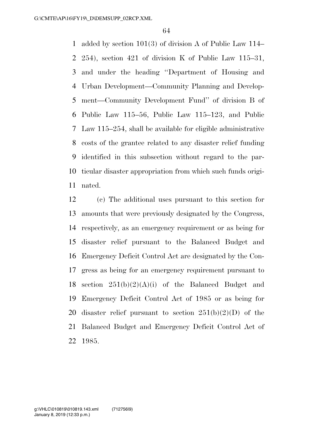added by section 101(3) of division A of Public Law 114– 254), section 421 of division K of Public Law 115–31, and under the heading ''Department of Housing and Urban Development—Community Planning and Develop- ment—Community Development Fund'' of division B of Public Law 115–56, Public Law 115–123, and Public Law 115–254, shall be available for eligible administrative costs of the grantee related to any disaster relief funding identified in this subsection without regard to the par- ticular disaster appropriation from which such funds origi-nated.

 (c) The additional uses pursuant to this section for amounts that were previously designated by the Congress, respectively, as an emergency requirement or as being for disaster relief pursuant to the Balanced Budget and Emergency Deficit Control Act are designated by the Con- gress as being for an emergency requirement pursuant to 18 section  $251(b)(2)(A)(i)$  of the Balanced Budget and Emergency Deficit Control Act of 1985 or as being for 20 disaster relief pursuant to section  $251(b)(2)(D)$  of the Balanced Budget and Emergency Deficit Control Act of 1985.